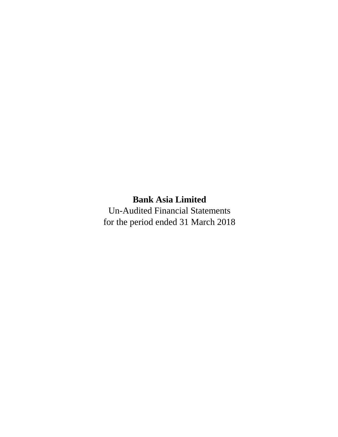Un-Audited Financial Statements for the period ended 31 March 2018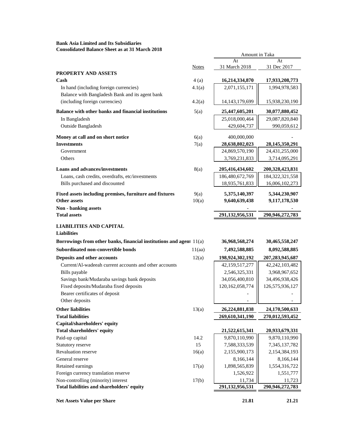**Bank Asia Limited and Its Subsidiaries Consolidated Balance Sheet as at 31 March 2018**

|                                                                         |                | Amount in Taka                  |                                    |  |  |
|-------------------------------------------------------------------------|----------------|---------------------------------|------------------------------------|--|--|
|                                                                         |                | At                              | At                                 |  |  |
|                                                                         | <b>Notes</b>   | 31 March 2018                   | 31 Dec 2017                        |  |  |
| <b>PROPERTY AND ASSETS</b><br>Cash                                      |                |                                 |                                    |  |  |
| In hand (including foreign currencies)                                  | 4(a)<br>4.1(a) | 16,214,334,870<br>2,071,155,171 | 17,933,208,773<br>1,994,978,583    |  |  |
| Balance with Bangladesh Bank and its agent bank                         |                |                                 |                                    |  |  |
| (including foreign currencies)                                          | 4.2(a)         | 14, 143, 179, 699               | 15,938,230,190                     |  |  |
| Balance with other banks and financial institutions                     | 5(a)           | 25,447,605,201                  | 30,077,880,452                     |  |  |
| In Bangladesh                                                           |                | 25,018,000,464                  | 29,087,820,840                     |  |  |
| Outside Bangladesh                                                      |                | 429,604,737                     | 990,059,612                        |  |  |
| Money at call and on short notice                                       | 6(a)           | 400,000,000                     |                                    |  |  |
| <b>Investments</b>                                                      | 7(a)           | 28,638,802,023                  | 28, 145, 350, 291                  |  |  |
| Government                                                              |                | 24,869,570,190                  | 24,431,255,000                     |  |  |
| Others                                                                  |                | 3,769,231,833                   | 3,714,095,291                      |  |  |
| <b>Loans and advances/investments</b>                                   | 8(a)           | 205,416,434,602                 | 200,328,423,831                    |  |  |
| Loans, cash credits, overdrafts, etc/investments                        |                | 186,480,672,769                 | 184, 322, 321, 558                 |  |  |
| Bills purchased and discounted                                          |                | 18,935,761,833                  | 16,006,102,273                     |  |  |
| Fixed assets including premises, furniture and fixtures                 | 9(a)           | 5,375,140,397                   | 5,344,230,907                      |  |  |
| <b>Other assets</b>                                                     | 10(a)          | 9,640,639,438                   | 9,117,178,530                      |  |  |
| Non - banking assets                                                    |                |                                 |                                    |  |  |
| <b>Total assets</b>                                                     |                | 291,132,956,531                 | 290,946,272,783                    |  |  |
|                                                                         |                |                                 |                                    |  |  |
| <b>LIABILITIES AND CAPITAL</b><br><b>Liabilities</b>                    |                |                                 |                                    |  |  |
| Borrowings from other banks, financial institutions and agent 11(a)     |                | 36,968,568,274                  | 30,465,558,247                     |  |  |
| Subordinated non-convertible bonds                                      | 11(aa)         | 7,492,588,885                   | 8,092,588,885                      |  |  |
|                                                                         |                |                                 |                                    |  |  |
| Deposits and other accounts                                             | 12(a)          | 198,924,302,192                 | 207, 283, 945, 687                 |  |  |
| Current/Al-wadeeah current accounts and other accounts<br>Bills payable |                | 42,159,517,277<br>2,546,325,331 | 42, 242, 103, 482<br>3,968,967,652 |  |  |
| Savings bank/Mudaraba savings bank deposits                             |                | 34,056,400,810                  | 34,496,938,426                     |  |  |
| Fixed deposits/Mudaraba fixed deposits                                  |                | 120, 162, 058, 774              | 126,575,936,127                    |  |  |
| Bearer certificates of deposit                                          |                |                                 |                                    |  |  |
| Other deposits                                                          |                | $\overline{\phantom{0}}$        | $\qquad \qquad -$                  |  |  |
| <b>Other liabilities</b>                                                | 13(a)          | 26,224,881,838                  | 24,170,500,633                     |  |  |
| <b>Total liabilities</b>                                                |                | 269,610,341,190                 | 270,012,593,452                    |  |  |
| Capital/shareholders' equity                                            |                |                                 |                                    |  |  |
| Total shareholders' equity                                              |                | 21,522,615,341                  | 20,933,679,331                     |  |  |
| Paid-up capital                                                         | 14.2           | 9,870,110,990                   | 9,870,110,990                      |  |  |
| Statutory reserve                                                       | 15             | 7,588,333,539                   | 7,345,137,782                      |  |  |
| Revaluation reserve                                                     | 16(a)          | 2,155,900,173                   | 2,154,384,193                      |  |  |
| General reserve                                                         |                | 8,166,144                       | 8,166,144                          |  |  |
| Retained earnings                                                       | 17(a)          | 1,898,565,839                   | 1,554,316,722                      |  |  |
| Foreign currency translation reserve                                    |                | 1,526,922                       | 1,551,777                          |  |  |
| Non-controlling (minority) interest                                     | 17(b)          | 11,734                          | 11,723                             |  |  |
| Total liabilities and shareholders' equity                              |                | 291,132,956,531                 | 290,946,272,783                    |  |  |
| <b>Net Assets Value per Share</b>                                       |                | 21.81                           | 21.21                              |  |  |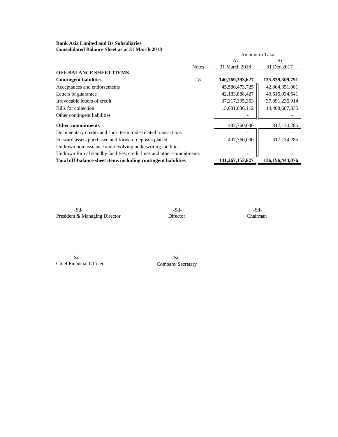**Bank Asia Limited and Its Subsidiaries Consolidated Balance Sheet as at 31 March 2018**

|                                                                       |              | Amount in Taka    |                    |  |
|-----------------------------------------------------------------------|--------------|-------------------|--------------------|--|
|                                                                       |              | At                | At                 |  |
|                                                                       | <b>Notes</b> | 31 March 2018     | 31 Dec 2017        |  |
| <b>OFF-BALANCE SHEET ITEMS</b>                                        |              |                   |                    |  |
| <b>Contingent liabilities</b>                                         | 18           | 140,769,393,627   | 135,839,309,791    |  |
| Acceptances and endorsements                                          |              | 45,586,473,725    | 42,864,351,001     |  |
| Letters of guarantee                                                  |              | 42,183,888,427    | 40,615,034,541     |  |
| Irrevocable letters of credit                                         |              | 37, 317, 395, 363 | 37,891,236,914     |  |
| Bills for collection                                                  |              | 15,681,636,112    | 14,468,687,335     |  |
| Other contingent liabilities                                          |              |                   |                    |  |
| <b>Other commitments</b>                                              |              | 497,760,000       | 317, 134, 285      |  |
| Documentary credits and short term trade-related transactions         |              |                   |                    |  |
| Forward assets purchased and forward deposits placed                  |              | 497,760,000       | 317, 134, 285      |  |
| Undrawn note issuance and revolving underwriting facilities           |              |                   |                    |  |
| Undrawn formal standby facilities, credit lines and other commitments |              |                   |                    |  |
| Total off-balance sheet items including contingent liabilities        |              | 141,267,153,627   | 136, 156, 444, 076 |  |
|                                                                       |              |                   |                    |  |

**Mathematic Solution Alice Solution Alice Solution Alice Solution Alice Solution Alice Solution Alice Solution A** President & Managing Director Director Director Chairman

**Mohammad Ibrahim Khalil FCA** -Sd- -Sd-Chief Financial Officer Company Secretary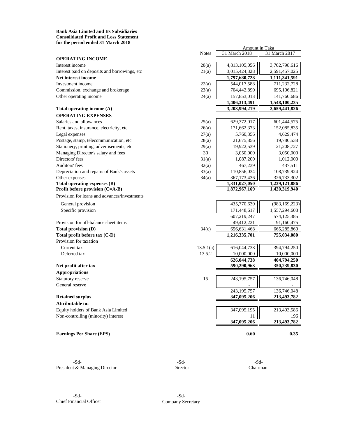**Bank Asia Limited and Its Subsidiaries Consolidated Profit and Loss Statement for the period ended 31 March 2018**

|                                               | <b>Notes</b> | 31 March 2018 | 31 March 2017   |
|-----------------------------------------------|--------------|---------------|-----------------|
| <b>OPERATING INCOME</b>                       |              |               |                 |
| Interest income                               | 20(a)        | 4,813,105,056 | 3,702,798,616   |
| Interest paid on deposits and borrowings, etc | 21(a)        | 3,015,424,328 | 2,591,457,025   |
| Net interest income                           |              | 1,797,680,728 | 1,111,341,591   |
| Investment income                             | 22(a)        | 544,017,588   | 711,232,728     |
| Commission, exchange and brokerage            | 23(a)        | 704,442,890   | 695,106,821     |
| Other operating income                        | 24(a)        | 157,853,013   | 141,760,686     |
|                                               |              | 1,406,313,491 | 1,548,100,235   |
| Total operating income (A)                    |              | 3,203,994,219 | 2,659,441,826   |
| <b>OPERATING EXPENSES</b>                     |              |               |                 |
| Salaries and allowances                       | 25(a)        | 629,372,017   | 601,444,575     |
| Rent, taxes, insurance, electricity, etc      | 26(a)        | 171,662,373   | 152,085,835     |
| Legal expenses                                | 27(a)        | 5,760,356     | 4,629,474       |
| Postage, stamp, telecommunication, etc        | 28(a)        | 21,675,856    | 19,780,538      |
| Stationery, printing, advertisements, etc     | 29(a)        | 19,922,539    | 21,208,727      |
| Managing Director's salary and fees           | 30           | 3,050,000     | 3,050,000       |
| Directors' fees                               | 31(a)        | 1,087,200     | 1,012,000       |
| Auditors' fees                                | 32(a)        | 467,239       | 437,511         |
| Depreciation and repairs of Bank's assets     | 33(a)        | 110,856,034   | 108,739,924     |
| Other expenses                                | 34(a)        | 367,173,436   | 326,733,302     |
| Total operating expenses (B)                  |              | 1,331,027,050 | 1,239,121,886   |
| Profit before provision (C=A-B)               |              | 1,872,967,169 | 1,420,319,940   |
| Provision for loans and advances/investments  |              |               |                 |
| General provision                             |              | 435,770,630   | (983, 169, 223) |
| Specific provision                            |              | 171,448,617   | 1,557,294,608   |
|                                               |              | 607,219,247   | 574,125,385     |
| Provision for off-balance sheet items         |              | 49,412,221    | 91,160,475      |
| Total provision (D)                           | 34(c)        | 656,631,468   | 665,285,860     |
| Total profit before tax (C-D)                 |              | 1,216,335,701 | 755,034,080     |
| Provision for taxation                        |              |               |                 |
| Current tax                                   | 13.5.1(a)    | 616,044,738   | 394,794,250     |
| Deferred tax                                  | 13.5.2       | 10,000,000    | 10,000,000      |
|                                               |              | 626,044,738   | 404,794,250     |
| Net profit after tax                          |              | 590,290,963   | 350,239,830     |
| <b>Appropriations</b>                         |              |               |                 |
| Statutory reserve                             | 15           | 243, 195, 757 | 136,746,048     |
| General reserve                               |              |               |                 |
|                                               |              | 243, 195, 757 | 136,746,048     |
| <b>Retained surplus</b>                       |              | 347,095,206   | 213,493,782     |
| <b>Attributable to:</b>                       |              |               |                 |
| Equity holders of Bank Asia Limited           |              | 347,095,195   | 213,493,586     |
| Non-controlling (minority) interest           |              | 11            | 196             |
|                                               |              | 347,095,206   | 213,493,782     |
| <b>Earnings Per Share (EPS)</b>               |              | 0.60          | 0.35            |

-Sd- 5d-President & Managing Director Director Director Chairman

Amount in Taka

**Mohammad Ibrahim Khalil FCA** -Sd- -Sd-Chief Financial Officer Company Secretary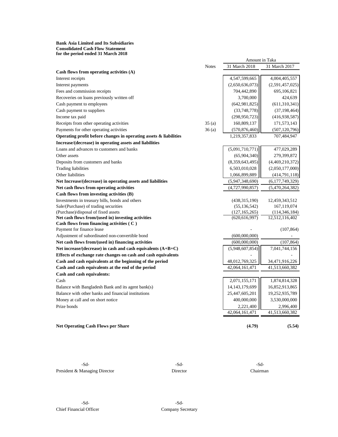#### **Bank Asia Limited and Its Subsidiaries Consolidated Cash Flow Statement for the period ended 31 March 2018**

|                                                                      |              | Amount in Taka    |                 |
|----------------------------------------------------------------------|--------------|-------------------|-----------------|
|                                                                      | <b>Notes</b> | 31 March 2018     | 31 March 2017   |
| Cash flows from operating activities $(A)$                           |              |                   |                 |
| Interest receipts                                                    |              | 4,547,599,665     | 4,004,405,557   |
| Interest payments                                                    |              | (2,650,636,073)   | (2,591,457,025) |
| Fees and commission receipts                                         |              | 704,442,890       | 695,106,821     |
| Recoveries on loans previously written off                           |              | 3,700,000         | 424,639         |
| Cash payment to employees                                            |              | (642, 981, 825)   | (611, 310, 341) |
| Cash payment to suppliers                                            |              | (33,748,778)      | (37, 198, 464)  |
| Income tax paid                                                      |              | (298, 950, 723)   | (416,938,587)   |
| Receipts from other operating activities                             | 35(a)        | 160,809,137       | 171,573,143     |
| Payments for other operating activities                              | 36(a)        | (570, 876, 460)   | (507, 120, 796) |
| Operating profit before changes in operating assets $\&$ liabilities |              | 1,219,357,833     | 707,484,947     |
| Increase/(decrease) in operating assets and liabilities              |              |                   |                 |
| Loans and advances to customers and banks                            |              | (5,091,710,771)   | 477,029,289     |
| Other assets                                                         |              | (65,904,340)      | 279,399,872     |
| Deposits from customers and banks                                    |              | (8,359,643,495)   | (4,469,210,372) |
| <b>Trading liabilities</b>                                           |              | 6,503,010,028     | (2,050,177,000) |
| Other liabilities                                                    |              | 1,066,899,889     | (414,791,118)   |
| Net Increase/(decrease) in operating assets and liabilities          |              | (5,947,348,690)   | (6,177,749,329) |
| Net cash flows from operating activities                             |              | (4,727,990,857)   | (5,470,264,382) |
| Cash flows from investing activities (B)                             |              |                   |                 |
| Investments in treasury bills, bonds and others                      |              | (438, 315, 190)   | 12,459,343,512  |
| Sale/(Purchase) of trading securities                                |              | (55, 136, 542)    | 167,119,074     |
| (Purchase)/disposal of fixed assets                                  |              | (127, 165, 265)   | (114, 346, 184) |
| Net cash flows from/(used in) investing activities                   |              | (620, 616, 997)   | 12,512,116,402  |
| Cash flows from financing activities $(C)$                           |              |                   |                 |
| Payment for finance lease                                            |              |                   | (107, 864)      |
| Adjustment of subordinated non-convertible bond                      |              | (600,000,000)     |                 |
| Net cash flows from/(used in) financing activities                   |              | (600,000,000)     | (107, 864)      |
| Net increase/(decrease) in cash and cash equivalents $(A+B+C)$       |              | (5,948,607,854)   | 7,041,744,156   |
| Effects of exchange rate changes on cash and cash equivalents        |              |                   |                 |
| Cash and cash equivalents at the beginning of the period             |              | 48,012,769,325    | 34,471,916,226  |
| Cash and cash equivalents at the end of the period                   |              | 42,064,161,471    | 41,513,660,382  |
| Cash and cash equivalents:                                           |              |                   |                 |
| Cash                                                                 |              | 2,071,155,171     | 1,874,814,328   |
| Balance with Bangladesh Bank and its agent bank(s)                   |              | 14, 143, 179, 699 | 16,852,913,865  |
| Balance with other banks and financial institutions                  |              | 25,447,605,201    | 19,252,935,789  |
| Money at call and on short notice                                    |              | 400,000,000       | 3,530,000,000   |
| Prize bonds                                                          |              | 2,221,400         | 2,996,400       |
|                                                                      |              | 42,064,161,471    | 41,513,660,382  |
|                                                                      |              |                   |                 |
| <b>Net Operating Cash Flows per Share</b>                            |              | (4.79)            | (5.54)          |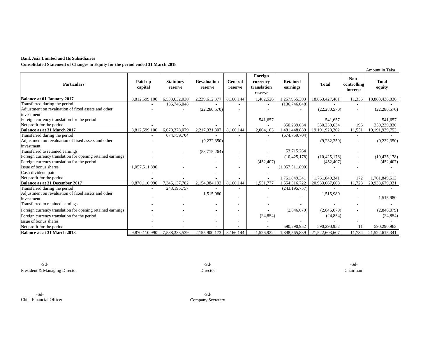#### **Bank Asia Limited and Its Subsidiaries**

**Consolidated Statement of Changes in Equity for the period ended 31 March 2018**

|                                                            |                    |                             |                               |                    |                                               |                             |                |                                 | Amount in Taka         |
|------------------------------------------------------------|--------------------|-----------------------------|-------------------------------|--------------------|-----------------------------------------------|-----------------------------|----------------|---------------------------------|------------------------|
| <b>Particulars</b>                                         | Paid-up<br>capital | <b>Statutory</b><br>reserve | <b>Revaluation</b><br>reserve | General<br>reserve | Foreign<br>currency<br>translation<br>reserve | <b>Retained</b><br>earnings | <b>Total</b>   | Non-<br>controlling<br>interest | <b>Total</b><br>equity |
| Balance at 01 January 2017                                 | 8,812,599,100      | 6,533,632,030               | 2,239,612,377                 | 8,166,144          | 1,462,526                                     | 1,267,955,303               | 18,863,427,481 | 11,355                          | 18,863,438,836         |
| Transferred during the period                              |                    | 136,746,048                 |                               |                    |                                               | (136,746,048)               |                |                                 |                        |
| Adjustment on revaluation of fixed assets and other        |                    |                             | (22, 280, 570)                |                    |                                               |                             | (22, 280, 570) |                                 | (22, 280, 570)         |
| investment                                                 |                    |                             |                               |                    |                                               |                             |                |                                 |                        |
| Foreign currency translation for the period                |                    |                             |                               |                    | 541,657                                       |                             | 541,657        |                                 | 541.657                |
| Net profit for the period                                  |                    |                             |                               |                    |                                               | 350,239,634                 | 350,239,634    | 196                             | 350,239,830            |
| Balance as at 31 March 2017                                | 8,812,599,100      | 6,670,378,079               | 2,217,331,807                 | 8,166,144          | 2,004,183                                     | ,481,448,889                | 19,191,928,202 | 11,551                          | 19,191,939,753         |
| Transferred during the period                              |                    | 674,759,704                 |                               |                    |                                               | (674, 759, 704)             |                | ٠                               |                        |
| Adjustment on revaluation of fixed assets and other        |                    |                             | (9, 232, 350)                 |                    |                                               |                             | (9,232,350)    |                                 | (9, 232, 350)          |
| investment                                                 |                    |                             |                               |                    |                                               |                             |                |                                 |                        |
| Transferred to retained earnings                           |                    |                             | (53,715,264)                  |                    |                                               | 53,715,264                  |                |                                 |                        |
| Foreign currency translation for opening retained earnings |                    |                             |                               |                    |                                               | (10, 425, 178)              | (10, 425, 178) |                                 | (10, 425, 178)         |
| Foreign currency translation for the period                |                    |                             |                               |                    | (452, 407)                                    |                             | (452, 407)     |                                 | (452, 407)             |
| Issue of bonus shares                                      | 1,057,511,890      |                             |                               |                    |                                               | (1,057,511,890)             |                |                                 |                        |
| Cash dividend paid                                         |                    |                             |                               |                    |                                               |                             |                |                                 |                        |
| Net profit for the period                                  |                    |                             |                               |                    |                                               | 1.761,849,341               | 1.761.849.341  | 172                             | 1.761.849.513          |
| <b>Balance as at 31 December 2017</b>                      | 9.870.110.990      | 7.345.137.782               | 2,154,384,193                 | 8.166.144          | 1.551.777                                     | 1,554,316,722               | 20,933,667,608 | 11.723                          | 20,933,679,331         |
| Transferred during the period                              |                    | 243,195,757                 |                               |                    | ۰                                             | (243, 195, 757)             |                | $\overline{\phantom{a}}$        |                        |
| Adjustment on revaluation of fixed assets and other        |                    |                             | 1,515,980                     |                    |                                               |                             | 1,515,980      |                                 |                        |
| investment                                                 |                    | ٠                           |                               |                    |                                               |                             |                |                                 | 1,515,980              |
| Transferred to retained earnings                           |                    |                             |                               |                    |                                               |                             |                |                                 |                        |
| Foreign currency translation for opening retained earnings |                    |                             |                               |                    |                                               | (2,846,079)                 | (2,846,079)    |                                 | (2,846,079)            |
| Foreign currency translation for the period                |                    |                             |                               |                    | (24, 854)                                     |                             | (24, 854)      |                                 | (24, 854)              |
| Issue of bonus shares                                      |                    |                             |                               |                    |                                               |                             |                |                                 |                        |
| Net profit for the period                                  |                    |                             |                               |                    |                                               | 590,290,952                 | 590,290,952    |                                 | 590,290,963            |
| Balance as at 31 March 2018                                | 9.870.110.990      | 7,588,333,539               | 2,155,900,173                 | 8,166,144          | .526.922                                      | 1,898,565,839               | 21,522,603,607 | 11.734                          | 21,522,615,341         |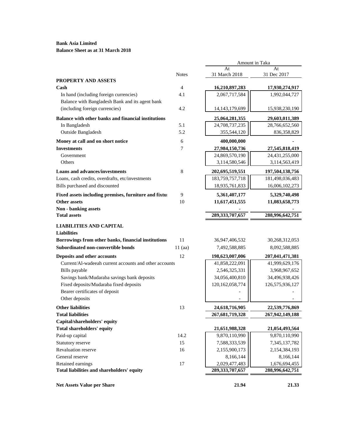**Bank Asia Limited Balance Sheet as at 31 March 2018**

|                                                                 |              | Amount in Taka                      |                                  |  |  |
|-----------------------------------------------------------------|--------------|-------------------------------------|----------------------------------|--|--|
|                                                                 |              | At                                  | At                               |  |  |
| <b>PROPERTY AND ASSETS</b>                                      | <b>Notes</b> | 31 March 2018                       | 31 Dec 2017                      |  |  |
| Cash                                                            | 4            | 16,210,897,283                      | 17,930,274,917                   |  |  |
| In hand (including foreign currencies)                          | 4.1          | 2,067,717,584                       | 1,992,044,727                    |  |  |
| Balance with Bangladesh Bank and its agent bank                 |              |                                     |                                  |  |  |
| (including foreign currencies)                                  | 4.2          | 14, 143, 179, 699                   | 15,938,230,190                   |  |  |
| Balance with other banks and financial institutions             |              | 25,064,281,355                      | 29,603,011,389                   |  |  |
| In Bangladesh                                                   | 5.1          | 24,708,737,235                      | 28,766,652,560                   |  |  |
| Outside Bangladesh                                              | 5.2          | 355,544,120                         | 836,358,829                      |  |  |
| Money at call and on short notice                               | 6            | 400,000,000                         |                                  |  |  |
| <b>Investments</b>                                              | 7            | 27,984,150,736                      | 27,545,818,419                   |  |  |
| Government                                                      |              | 24,869,570,190                      | 24,431,255,000                   |  |  |
| Others                                                          |              | 3,114,580,546                       | 3,114,563,419                    |  |  |
| <b>Loans and advances/investments</b>                           | 8            | 202,695,519,551                     | 197,504,138,756                  |  |  |
| Loans, cash credits, overdrafts, etc/investments                |              | 183,759,757,718                     | 181,498,036,483                  |  |  |
| Bills purchased and discounted                                  |              | 18,935,761,833                      | 16,006,102,273                   |  |  |
| Fixed assets including premises, furniture and fixtui           | 9            | 5,361,407,177                       | 5,329,740,498                    |  |  |
| Other assets                                                    | 10           | 11,617,451,555                      | 11,083,658,773                   |  |  |
| Non - banking assets                                            |              |                                     |                                  |  |  |
| <b>Total assets</b>                                             |              | 289, 333, 707, 657                  | 288,996,642,751                  |  |  |
| <b>LIABILITIES AND CAPITAL</b>                                  |              |                                     |                                  |  |  |
| <b>Liabilities</b>                                              |              |                                     |                                  |  |  |
| Borrowings from other banks, financial institutions             | 11           | 36,947,406,532                      | 30,268,312,053                   |  |  |
| Subordinated non-convertible bonds                              | $11$ (aa)    | 7,492,588,885                       | 8,092,588,885                    |  |  |
| Deposits and other accounts                                     | 12           | 198,623,007,006                     | 207,041,471,381                  |  |  |
| Current/Al-wadeeah current accounts and other accounts          |              | 41,858,222,091                      | 41,999,629,176                   |  |  |
| Bills payable                                                   |              | 2,546,325,331                       | 3,968,967,652                    |  |  |
| Savings bank/Mudaraba savings bank deposits                     |              | 34,056,400,810                      | 34,496,938,426                   |  |  |
| Fixed deposits/Mudaraba fixed deposits                          |              | 120, 162, 058, 774                  | 126,575,936,127                  |  |  |
| Bearer certificates of deposit                                  |              |                                     |                                  |  |  |
| Other deposits                                                  |              |                                     |                                  |  |  |
| <b>Other liabilities</b>                                        | 13           | 24,618,716,905                      | 22,539,776,869                   |  |  |
| <b>Total liabilities</b>                                        |              | 267, 681, 719, 328                  | 267,942,149,188                  |  |  |
| Capital/shareholders' equity                                    |              |                                     |                                  |  |  |
| <b>Total shareholders' equity</b>                               |              | 21,651,988,328                      | 21,054,493,564                   |  |  |
| Paid-up capital                                                 | 14.2         | 9,870,110,990                       | 9,870,110,990                    |  |  |
| Statutory reserve                                               | 15           | 7,588,333,539                       | 7,345,137,782                    |  |  |
|                                                                 |              | 2,155,900,173                       | 2,154,384,193                    |  |  |
| Revaluation reserve                                             | 16           |                                     |                                  |  |  |
| General reserve                                                 |              | 8,166,144                           | 8,166,144                        |  |  |
| Retained earnings<br>Total liabilities and shareholders' equity | 17           | 2,029,477,483<br>289, 333, 707, 657 | 1,676,694,455<br>288,996,642,751 |  |  |

**Net Assets Value per Share 21.94** 21.33

 $\overline{\phantom{0}}$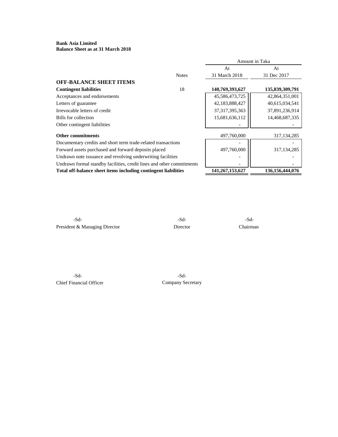## **Bank Asia Limited Balance Sheet as at 31 March 2018**

|                                                                       | Amount in Taka    |                    |  |
|-----------------------------------------------------------------------|-------------------|--------------------|--|
|                                                                       | At                | At                 |  |
| <b>Notes</b>                                                          | 31 March 2018     | 31 Dec 2017        |  |
|                                                                       |                   |                    |  |
| 18                                                                    | 140,769,393,627   | 135,839,309,791    |  |
|                                                                       | 45,586,473,725    | 42,864,351,001     |  |
|                                                                       | 42,183,888,427    | 40,615,034,541     |  |
|                                                                       | 37, 317, 395, 363 | 37,891,236,914     |  |
|                                                                       | 15,681,636,112    | 14,468,687,335     |  |
|                                                                       |                   |                    |  |
|                                                                       | 497,760,000       | 317, 134, 285      |  |
| Documentary credits and short term trade-related transactions         |                   |                    |  |
| Forward assets purchased and forward deposits placed                  | 497,760,000       | 317, 134, 285      |  |
| Undrawn note issuance and revolving underwriting facilities           |                   |                    |  |
| Undrawn formal standby facilities, credit lines and other commitments |                   |                    |  |
| Total off-balance sheet items including contingent liabilities        | 141,267,153,627   | 136, 156, 444, 076 |  |
|                                                                       |                   |                    |  |

**Md. Arfan Ali** -Sd- -Sd- -Sd-President & Managing Director Director Director Chairman

**Mohammad Ibrahim Khalil FCA** -Sd- -Sd-Chief Financial Officer Company Secretary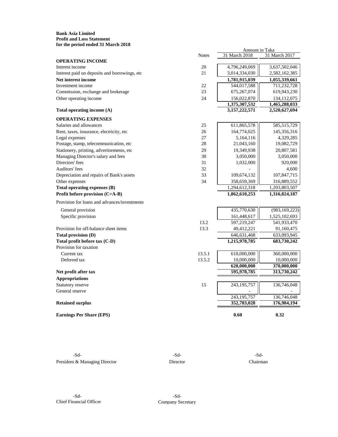#### **Bank Asia Limited Profit and Loss Statement for the period ended 31 March 2018**

|                                               |              | Amount in Taka                 |                                |  |
|-----------------------------------------------|--------------|--------------------------------|--------------------------------|--|
|                                               | <b>Notes</b> | 31 March 2018                  | 31 March 2017                  |  |
| <b>OPERATING INCOME</b>                       |              |                                |                                |  |
| Interest income                               | 20           | 4,796,249,069                  | 3,637,502,046                  |  |
| Interest paid on deposits and borrowings, etc | 21           | 3,014,334,030                  | 2,582,162,385                  |  |
| Net interest income                           |              | 1,781,915,039                  | 1,055,339,661                  |  |
| Investment income                             | 22           | 544,017,588                    | 711,232,728                    |  |
| Commission, exchange and brokerage            | 23           | 675,267,074                    | 619,943,230                    |  |
| Other operating income                        | 24           | 156,022,870                    | 134, 112, 075                  |  |
| Total operating income $(A)$                  |              | 1,375,307,532<br>3,157,222,571 | 1,465,288,033<br>2,520,627,694 |  |
|                                               |              |                                |                                |  |
| <b>OPERATING EXPENSES</b>                     |              |                                |                                |  |
| Salaries and allowances                       | 25           | 611,865,578                    | 585, 515, 729                  |  |
| Rent, taxes, insurance, electricity, etc      | 26           | 164,774,025                    | 145,356,316                    |  |
| Legal expenses                                | 27           | 5,164,116                      | 4,329,285                      |  |
| Postage, stamp, telecommunication, etc        | 28           | 21,043,160                     | 19,082,729                     |  |
| Stationery, printing, advertisements, etc     | 29           | 19,349,938                     | 20,807,581                     |  |
| Managing Director's salary and fees           | 30           | 3,050,000                      | 3,050,000                      |  |
| Directors' fees                               | 31           | 1,032,000                      | 920,000                        |  |
| Auditors' fees                                | 32           |                                | 4,600                          |  |
| Depreciation and repairs of Bank's assets     | 33           | 109,674,132                    | 107,847,715                    |  |
| Other expenses                                | 34           | 358,659,369                    | 316,889,552                    |  |
| Total operating expenses (B)                  |              | 1,294,612,318                  | 1,203,803,507                  |  |
| Profit before provision (C=A-B)               |              | 1,862,610,253                  | 1,316,824,187                  |  |
| Provision for loans and advances/investments  |              |                                |                                |  |
| General provision                             |              | 435,770,630                    | (983, 169, 223)                |  |
| Specific provision                            |              | 161,448,617                    | 1,525,102,693                  |  |
|                                               | 13.2         | 597,219,247                    | 541,933,470                    |  |
| Provision for off-balance sheet items         | 13.3         | 49,412,221                     | 91,160,475                     |  |
| <b>Total provision (D)</b>                    |              | 646, 631, 468                  | 633,093,945                    |  |
| Total profit before tax (C-D)                 |              | 1,215,978,785                  | 683,730,242                    |  |
| Provision for taxation                        |              |                                |                                |  |
| Current tax                                   | 13.5.1       | 610,000,000                    | 360,000,000                    |  |
| Deferred tax                                  | 13.5.2       | 10,000,000                     | 10,000,000                     |  |
|                                               |              | 620,000,000                    | 370,000,000                    |  |
| Net profit after tax                          |              | 595,978,785                    | 313,730,242                    |  |
| <b>Appropriations</b>                         |              |                                |                                |  |
| Statutory reserve                             | 15           | 243,195,757                    | 136,746,048                    |  |
| General reserve                               |              |                                |                                |  |
|                                               |              | 243, 195, 757                  | 136,746,048                    |  |
| <b>Retained surplus</b>                       |              | 352,783,028                    | 176,984,194                    |  |
| <b>Earnings Per Share (EPS)</b>               |              | 0.60                           | 0.32                           |  |

**Md. Arfan Ali** -Sd- -Sd- -Sd-President & Managing Director Director Director Chairman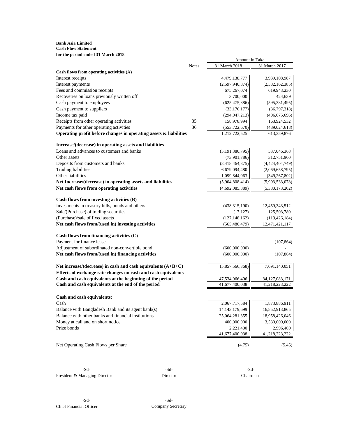#### **Bank Asia Limited Cash Flow Statement for the period ended 31 March 2018**

| ror the perfou ended 31 ivial en 2016                                |              | Amount in Taka     |                   |
|----------------------------------------------------------------------|--------------|--------------------|-------------------|
|                                                                      | <b>Notes</b> | 31 March 2018      | 31 March 2017     |
| Cash flows from operating activities (A)                             |              |                    |                   |
| Interest receipts                                                    |              | 4,479,138,777      | 3,939,108,987     |
| Interest payments                                                    |              | (2,597,940,874)    | (2,582,162,385)   |
| Fees and commission receipts                                         |              | 675,267,074        | 619,943,230       |
| Recoveries on loans previously written off                           |              | 3,700,000          | 424,639           |
| Cash payment to employees                                            |              | (625, 475, 386)    | (595, 381, 495)   |
| Cash payment to suppliers                                            |              | (33, 176, 177)     | (36,797,318)      |
| Income tax paid                                                      |              | (294, 047, 213)    | (406, 675, 696)   |
| Receipts from other operating activities                             | 35           | 158,978,994        | 163,924,532       |
| Payments for other operating activities                              | 36           | (553, 722, 670)    | (489, 024, 618)   |
| Operating profit before changes in operating assets $\&$ liabilities |              | 1,212,722,525      | 613,359,876       |
| Increase/(decrease) in operating assets and liabilities              |              |                    |                   |
| Loans and advances to customers and banks                            |              | (5, 191, 380, 795) | 537,046,368       |
| Other assets                                                         |              | (73,901,786)       | 312,751,900       |
| Deposits from customers and banks                                    |              | (8,418,464,375)    | (4,424,404,749)   |
| <b>Trading liabilities</b>                                           |              | 6,679,094,480      | (2,069,658,795)   |
| Other liabilities                                                    |              | 1,099,844,063      | (349, 267, 802)   |
| Net Increase/(decrease) in operating assets and liabilities          |              | (5,904,808,414)    | (5,993,533,078)   |
| Net cash flows from operating activities                             |              | (4,692,085,889)    | (5,380,173,202)   |
| Cash flows from investing activities (B)                             |              |                    |                   |
| Investments in treasury bills, bonds and others                      |              | (438, 315, 190)    | 12,459,343,512    |
| Sale/(Purchase) of trading securities                                |              | (17, 127)          | 125,503,789       |
| (Purchase)/sale of fixed assets                                      |              | (127, 148, 162)    | (113, 426, 184)   |
| Net cash flows from/(used in) investing activities                   |              | (565, 480, 479)    | 12,471,421,117    |
| Cash flows from financing activities (C)                             |              |                    |                   |
| Payment for finance lease                                            |              |                    | (107, 864)        |
| Adjustment of subordinated non-convertible bond                      |              | (600,000,000)      |                   |
| Net cash flows from/(used in) financing activities                   |              | (600,000,000)      | (107, 864)        |
| Net increase/(decrease) in cash and cash equivalents $(A+B+C)$       |              | (5,857,566,368)    | 7,091,140,051     |
| Effects of exchange rate changes on cash and cash equivalents        |              |                    |                   |
| Cash and cash equivalents at the beginning of the period             |              | 47,534,966,406     | 34, 127, 083, 171 |
| Cash and cash equivalents at the end of the period                   |              | 41,677,400,038     | 41,218,223,222    |
| Cash and cash equivalents:                                           |              |                    |                   |
| Cash                                                                 |              | 2,067,717,584      | 1,873,886,911     |
| Balance with Bangladesh Bank and its agent bank(s)                   |              | 14, 143, 179, 699  | 16,852,913,865    |
| Balance with other banks and financial institutions                  |              | 25,064,281,355     | 18,958,426,046    |
| Money at call and on short notice                                    |              | 400,000,000        | 3,530,000,000     |
| Prize bonds                                                          |              | 2,221,400          | 2,996,400         |
|                                                                      |              | 41,677,400,038     | 41,218,223,222    |
| Net Operating Cash Flows per Share                                   |              | (4.75)             | (5.45)            |
|                                                                      |              |                    |                   |

**Mathematic Sd-** -Sd- -Sd- -Sd- -Sd- -Sd- -Sd-President & Managing Director Director Director Chairman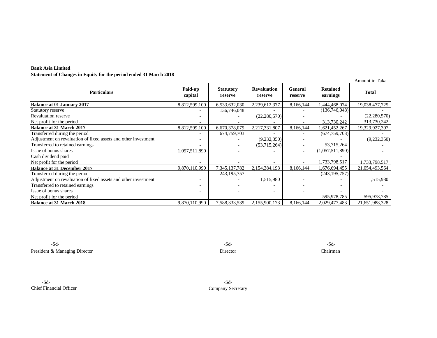| <b>Bank Asia Limited</b>                                          |
|-------------------------------------------------------------------|
| Statement of Changes in Equity for the period ended 31 March 2018 |

|                                                                |                    |                             |                               |                           |                             | Amount in Taka |
|----------------------------------------------------------------|--------------------|-----------------------------|-------------------------------|---------------------------|-----------------------------|----------------|
| <b>Particulars</b>                                             | Paid-up<br>capital | <b>Statutory</b><br>reserve | <b>Revaluation</b><br>reserve | <b>General</b><br>reserve | <b>Retained</b><br>earnings | <b>Total</b>   |
| <b>Balance at 01 January 2017</b>                              | 8,812,599,100      | 6,533,632,030               | 2,239,612,377                 | 8,166,144                 | ,444,468,074                | 19,038,477,725 |
| Statutory reserve                                              |                    | 136,746,048                 |                               |                           | (136,746,048)               |                |
| <b>Revaluation reserve</b>                                     |                    |                             | (22, 280, 570)                |                           |                             | (22, 280, 570) |
| Net profit for the period                                      |                    |                             |                               |                           | 313,730,242                 | 313,730,242    |
| Balance at 31 March 2017                                       | 8,812,599,100      | 6,670,378,079               | 2,217,331,807                 | 8,166,144                 | 1,621,452,267               | 19,329,927,397 |
| Transferred during the period                                  |                    | 674,759,703                 |                               |                           | (674, 759, 703)             |                |
| Adjustment on revaluation of fixed assets and other investment |                    |                             | (9, 232, 350)                 |                           |                             | (9,232,350)    |
| Transferred to retained earnings                               |                    |                             | (53,715,264)                  | $\overline{\phantom{a}}$  | 53,715,264                  |                |
| Issue of bonus shares                                          | 1,057,511,890      |                             |                               |                           | (1,057,511,890)             |                |
| Cash dividend paid                                             |                    |                             |                               |                           |                             |                |
| Net profit for the period                                      |                    |                             |                               |                           | 1,733,798,517               | 1,733,798,517  |
| <b>Balance at 31 December 2017</b>                             | 9,870,110,990      | 7,345,137,782               | 2,154,384,193                 | 8,166,144                 | 1,676,694,455               | 21,054,493,564 |
| Transferred during the period                                  |                    | 243, 195, 757               |                               |                           | (243, 195, 757)             |                |
| Adjustment on revaluation of fixed assets and other investment |                    |                             | 1,515,980                     |                           |                             | 1,515,980      |
| Transferred to retained earnings                               |                    |                             |                               |                           |                             |                |
| Issue of bonus shares                                          |                    |                             |                               |                           |                             |                |
| Net profit for the period                                      |                    |                             |                               |                           | 595,978,785                 | 595,978,785    |
| <b>Balance at 31 March 2018</b>                                | 9,870,110,990      | 7,588,333,539               | 2,155,900,173                 | 8.166.144                 | 2,029,477,483               | 21,651,988,328 |

-Sd- -Sd- -Sd-President & Managing Director Chairman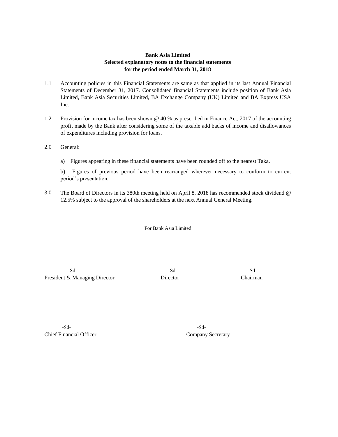# **Bank Asia Limited Selected explanatory notes to the financial statements for the period ended March 31, 2018**

- 1.1 Accounting policies in this Financial Statements are same as that applied in its last Annual Financial Statements of December 31, 2017. Consolidated financial Statements include position of Bank Asia Limited, Bank Asia Securities Limited, BA Exchange Company (UK) Limited and BA Express USA Inc.
- 1.2 Provision for income tax has been shown @ 40 % as prescribed in Finance Act, 2017 of the accounting profit made by the Bank after considering some of the taxable add backs of income and disallowances of expenditures including provision for loans.
- 2.0 General:
	- a) Figures appearing in these financial statements have been rounded off to the nearest Taka.

b) Figures of previous period have been rearranged wherever necessary to conform to current period's presentation.

3.0 The Board of Directors in its 380th meeting held on April 8, 2018 has recommended stock dividend @ 12.5% subject to the approval of the shareholders at the next Annual General Meeting.

For Bank Asia Limited

**Mathematic Solution Alice Solution Alice Solution Alice Solution Alice Solution Alice Solution Alice Solution A** President & Managing Director Director Director Chairman

**Mohammad Ibrahim Khalil FCA** -Sd- -Sd-Chief Financial Officer Company Secretary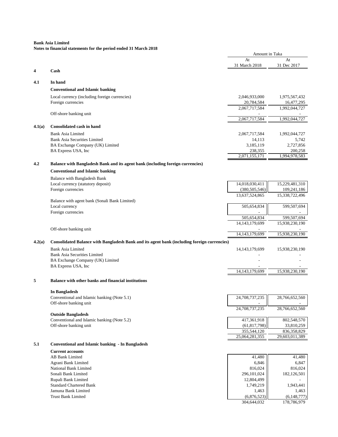|        |                                                                                             | Amount in Taka       |                      |
|--------|---------------------------------------------------------------------------------------------|----------------------|----------------------|
|        |                                                                                             | At                   | At                   |
|        |                                                                                             | 31 March 2018        | 31 Dec 2017          |
| 4      | Cash                                                                                        |                      |                      |
| 4.1    | In hand                                                                                     |                      |                      |
|        |                                                                                             |                      |                      |
|        | <b>Conventional and Islamic banking</b>                                                     |                      |                      |
|        | Local currency (including foreign currencies)                                               | 2,046,933,000        | 1,975,567,432        |
|        | Foreign currencies                                                                          | 20,784,584           | 16,477,295           |
|        | Off-shore banking unit                                                                      | 2,067,717,584        | 1,992,044,727        |
|        |                                                                                             | 2,067,717,584        | 1,992,044,727        |
|        |                                                                                             |                      |                      |
| 4.1(a) | Consolidated cash in hand                                                                   |                      |                      |
|        | <b>Bank Asia Limited</b>                                                                    | 2,067,717,584        | 1,992,044,727        |
|        | <b>Bank Asia Securities Limited</b>                                                         | 14,113               | 5,742                |
|        | BA Exchange Company (UK) Limited                                                            | 3,185,119<br>238,355 | 2,727,856<br>200,258 |
|        | BA Express USA, Inc                                                                         | 2,071,155,171        | 1,994,978,583        |
|        |                                                                                             |                      |                      |
| 4.2    | Balance with Bangladesh Bank and its agent bank (including foreign currencies)              |                      |                      |
|        | <b>Conventional and Islamic banking</b>                                                     |                      |                      |
|        | Balance with Bangladesh Bank                                                                |                      |                      |
|        | Local currency (statutory deposit)                                                          | 14,018,030,411       | 15,229,481,310       |
|        | Foreign currencies                                                                          | (380, 505, 546)      | 109,241,186          |
|        |                                                                                             | 13,637,524,865       | 15,338,722,496       |
|        | Balance with agent bank (Sonali Bank Limited)<br>Local currency                             | 505,654,834          | 599,507,694          |
|        | Foreign currencies                                                                          |                      |                      |
|        |                                                                                             | 505,654,834          | 599,507,694          |
|        |                                                                                             | 14, 143, 179, 699    | 15,938,230,190       |
|        | Off-shore banking unit                                                                      |                      |                      |
|        |                                                                                             | 14, 143, 179, 699    | 15,938,230,190       |
| 4.2(a) | Consolidated Balance with Bangladesh Bank and its agent bank (including foreign currencies) |                      |                      |
|        | <b>Bank Asia Limited</b>                                                                    | 14, 143, 179, 699    | 15,938,230,190       |
|        | <b>Bank Asia Securities Limited</b>                                                         |                      |                      |
|        | BA Exchange Company (UK) Limited                                                            |                      |                      |
|        | BA Express USA, Inc                                                                         |                      |                      |
|        |                                                                                             | 14, 143, 179, 699    | 15,938,230,190       |
| 5      | Balance with other banks and financial institutions                                         |                      |                      |
|        |                                                                                             |                      |                      |
|        | In Bangladesh                                                                               |                      |                      |
|        | Conventional and Islamic banking (Note 5.1)                                                 | 24.708.737.235       | 28,766,652,560       |
|        | Off-shore banking unit                                                                      |                      |                      |
|        |                                                                                             | 24,708,737,235       | 28,766,652,560       |
|        | <b>Outside Bangladesh</b><br>Conventional and Islamic banking (Note 5.2)                    | 417,361,918          | 802,548,570          |
|        | Off-shore banking unit                                                                      | (61, 817, 798)       | 33,810,259           |
|        |                                                                                             | 355,544,120          | 836,358,829          |
|        |                                                                                             | 25,064,281,355       | 29,603,011,389       |
| 5.1    | <b>Conventional and Islamic banking - In Bangladesh</b>                                     |                      |                      |
|        | <b>Current accounts</b>                                                                     |                      |                      |
|        | AB Bank Limited                                                                             | 41,480               | 41,480               |
|        | Agrani Bank Limited                                                                         | 6,846                | 6,847                |
|        | National Bank Limited                                                                       | 816,024              | 816,024              |
|        | Sonali Bank Limited                                                                         | 296, 101, 024        | 182,126,501          |
|        | Rupali Bank Limited                                                                         | 12,804,499           |                      |
|        | <b>Standard Chartered Bank</b>                                                              | 1,749,219            | 1,943,441            |
|        | Jamuna Bank Limited                                                                         | 1,463                | 1,463                |
|        | <b>Trust Bank Limited</b>                                                                   | (6,876,523)          | (6, 148, 777)        |
|        |                                                                                             | 304,644,032          | 178,786,979          |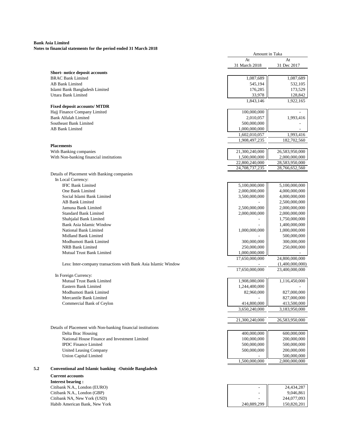**Notes to financial statements for the period ended 31 March 2018**

|                              |                                                                |                | Amount in Taka  |
|------------------------------|----------------------------------------------------------------|----------------|-----------------|
|                              |                                                                | At             | At              |
|                              |                                                                | 31 March 2018  | 31 Dec 2017     |
|                              | Short-notice deposit accounts                                  |                |                 |
| <b>BRAC Bank Limited</b>     |                                                                | 1,087,689      | 1,087,689       |
| <b>AB Bank Limited</b>       |                                                                | 545,194        | 532,105         |
|                              | Islami Bank Bangladesh Limited                                 | 176,285        | 173,529         |
| Uttara Bank Limited          |                                                                | 33,978         | 128,842         |
|                              |                                                                | 1,843,146      | 1,922,165       |
|                              | <b>Fixed deposit accounts/ MTDR</b>                            |                |                 |
|                              | Hajj Finance Company Limited                                   | 100,000,000    |                 |
| <b>Bank Alfalah Limited</b>  |                                                                | 2,010,057      | 1,993,416       |
| Southeast Bank Limited       |                                                                | 500,000,000    |                 |
| <b>AB Bank Limited</b>       |                                                                | 1,000,000,000  |                 |
|                              |                                                                | 1,602,010,057  | 1,993,416       |
|                              |                                                                | 1,908,497,235  | 182,702,560     |
|                              |                                                                |                |                 |
| With Banking companies       |                                                                | 21,300,240,000 | 26,583,950,000  |
|                              | With Non-banking financial institutions                        | 1,500,000,000  | 2,000,000,000   |
|                              |                                                                | 22,800,240,000 | 28,583,950,000  |
|                              |                                                                | 24,708,737,235 | 28,766,652,560  |
|                              | Details of Placement with Banking companies                    |                |                 |
| In Local Currency:           |                                                                |                |                 |
| <b>IFIC Bank Limited</b>     |                                                                | 5,100,000,000  | 5,100,000,000   |
| One Bank Limited             |                                                                | 2,000,000,000  | 4,000,000,000   |
|                              | Social Islami Bank Limited                                     | 3,500,000,000  | 4,000,000,000   |
| <b>AB Bank Limited</b>       |                                                                |                | 2,500,000,000   |
| Jamuna Bank Limited          |                                                                | 2,500,000,000  | 2,000,000,000   |
| <b>Standard Bank Limited</b> |                                                                | 2,000,000,000  | 2,000,000,000   |
| Shahjalal Bank Limited       |                                                                |                | 1,750,000,000   |
|                              | Bank Asia Islamic Window                                       |                | 1,400,000,000   |
| National Bank Limited        |                                                                | 1,000,000,000  | 1,000,000,000   |
| Midland Bank Limited         |                                                                |                | 500,000,000     |
|                              |                                                                |                |                 |
|                              | Modhumoti Bank Limited                                         | 300,000,000    | 300,000,000     |
| <b>NRB Bank Limited</b>      |                                                                | 250,000,000    | 250,000,000     |
|                              | Mutual Trust Bank Limited                                      | 1,000,000,000  |                 |
|                              |                                                                | 17,650,000,000 | 24,800,000,000  |
|                              | Less: Inter-company transactions with Bank Asia Islamic Window |                | (1,400,000,000) |
|                              |                                                                | 17,650,000,000 | 23,400,000,000  |
| In Foreign Currency:         |                                                                |                |                 |
|                              | Mutual Trust Bank Limited                                      | 1,908,080,000  | 1,116,450,000   |
| Eastern Bank Limited         |                                                                | 1,244,400,000  |                 |
|                              | Modhumoti Bank Limited                                         | 82,960,000     | 827,000,000     |
|                              | Mercantile Bank Limited                                        |                | 827,000,000     |
|                              | Commercial Bank of Ceylon                                      | 414,800,000    | 413,500,000     |
|                              |                                                                | 3,650,240,000  | 3,183,950,000   |
|                              |                                                                |                |                 |
|                              |                                                                | 21,300,240,000 | 26,583,950,000  |
|                              | Details of Placement with Non-banking financial institutions   |                |                 |
| Delta Brac Housing           |                                                                | 400,000,000    | 600,000,000     |
|                              | National House Finance and Investment Limited                  | 100,000,000    | 200,000,000     |
| <b>IPDC</b> Finance Limited  |                                                                | 500,000,000    | 500,000,000     |
|                              | United Leasing Company                                         | 500,000,000    | 200,000,000     |
| <b>Union Capital Limited</b> |                                                                |                | 500,000,000     |
|                              |                                                                | 1,500,000,000  | 2,000,000,000   |
|                              |                                                                |                |                 |
| <b>Current accounts</b>      | <b>Conventional and Islamic banking -Outside Bangladesh</b>    |                |                 |

|             | 24,434,287  |
|-------------|-------------|
|             | 9,046,861   |
|             | 244,077,093 |
| 240,889,299 | 150,820,201 |
|             |             |

#### **Interest bearing :** Citibank N.A., London (EURO) Citibank N.A., London (GBP) Citibank NA, New York (USD) Habib American Bank, New York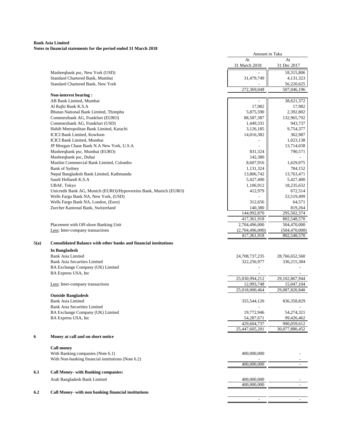#### **Bank Asia Limited Notes to financial statements for the period ended 31 March 2018**

|      |                                                                         | Amount in Taka                 |                                |
|------|-------------------------------------------------------------------------|--------------------------------|--------------------------------|
|      |                                                                         | At<br>31 March 2018            | At<br>31 Dec 2017              |
|      | Mashreqbank psc, New York (USD)                                         |                                | 18,315,806                     |
|      | Standard Chartered Bank, Mumbai                                         | 31,479,749                     | 4,131,323                      |
|      | Standard Chartered Bank, New York                                       |                                | 56,220,625                     |
|      |                                                                         | 272,369,048                    | 507,046,196                    |
|      | Non-interest bearing:                                                   |                                |                                |
|      | AB Bank Limited, Mumbai                                                 |                                | 38,621,372                     |
|      | Al Rajhi Bank K.S.A                                                     | 17,982                         | 17,982                         |
|      | Bhutan National Bank Limited, Thimphu                                   | 5,875,590                      | 2,392,802                      |
|      | Commerzbank AG, Frankfurt (EURO)<br>Commerzbank AG, Frankfurt (USD)     | 88,587,387<br>1,449,331        | 132,965,792<br>943,737         |
|      | Habib Metropolitan Bank Limited, Karachi                                | 3,126,185                      | 9,754,377                      |
|      | <b>ICICI Bank Limited, Kowloon</b>                                      | 14,016,382                     | 362,987                        |
|      | ICICI Bank Limited, Mumbai                                              |                                | 1,023,138                      |
|      | JP Morgan Chase Bank N.A New York, U.S.A                                |                                | 13,714,038                     |
|      | Mashreqbank psc, Mumbai (EURO)                                          | 831,324                        | 790,571                        |
|      | Mashreqbank psc, Dubai                                                  | 142,380                        |                                |
|      | Muslim Commercial Bank Limited, Colombo                                 | 8,607,916                      | 1,629,075                      |
|      | Bank of Sydney                                                          | 1,131,324                      | 784,152                        |
|      | Nepal Bangladesh Bank Limited, Kathmandu                                | 13,806,742                     | 13,763,471                     |
|      | Saudi Hollandi K.S.A                                                    | 5,427,400                      | 5,427,400                      |
|      | <b>UBAF, Tokyo</b>                                                      | 1,106,912                      | 18,235,632                     |
|      | Unicredit Bank AG, Munich (EURO)/Hypovereins Bank, Munich (EURO)        | 412,979                        | 672,514                        |
|      | Wells Fargo Bank NA, New York, (USD)                                    |                                | 53,519,499                     |
|      | Wells Fargo Bank NA, London, (Euro)                                     | 312,656                        | 64,571                         |
|      | Zurcher Kantonal Bank, Switzerland                                      | 140,380                        | 819,264                        |
|      |                                                                         | 144,992,870                    | 295,502,374                    |
|      |                                                                         | 417,361,918                    | 802,548,570                    |
|      | Placement with Off-shore Banking Unit                                   | 2,704,496,000                  | 504,470,000                    |
|      | Less: Inter-company transactions                                        | (2,704,496,000)<br>417,361,918 | (504, 470, 000)<br>802,548,570 |
| 5(a) | <b>Consolidated Balance with other banks and financial institutions</b> |                                |                                |
|      | <b>In Bangladesh</b>                                                    |                                |                                |
|      | <b>Bank Asia Limited</b>                                                | 24,708,737,235                 | 28,766,652,560                 |
|      | <b>Bank Asia Securities Limited</b>                                     | 322,256,977                    | 336,215,384                    |
|      | BA Exchange Company (UK) Limited                                        |                                |                                |
|      | BA Express USA, Inc                                                     |                                |                                |
|      |                                                                         | 25,030,994,212                 | 29,102,867,944                 |
|      | Less: Inter-company transactions                                        | 12,993,748                     | 15,047,104                     |
|      |                                                                         | 25,018,000,464                 | 29,087,820,840                 |
|      | <b>Outside Bangladesh</b>                                               |                                |                                |
|      | <b>Bank Asia Limited</b>                                                | 355,544,120                    | 836,358,829                    |
|      | <b>Bank Asia Securities Limited</b>                                     |                                |                                |
|      | BA Exchange Company (UK) Limited                                        | 19,772,946                     | 54,274,321                     |
|      | BA Express USA, Inc                                                     | 54,287,671                     | 99,426,462                     |
|      |                                                                         | 429,604,737                    | 990.059.612                    |
|      |                                                                         | 25,447,605,201                 | 30,077,880,452                 |
| 6    | Money at call and on short notice                                       |                                |                                |
|      | <b>Call money</b>                                                       |                                |                                |
|      | With Banking companies (Note 6.1)                                       | 400,000,000                    |                                |
|      | With Non-banking financial institutions (Note 6.2)                      |                                |                                |
|      |                                                                         | 400,000,000                    |                                |
| 6.1  | <b>Call Money- with Banking companies:</b>                              |                                |                                |
|      | Arab Bangladesh Bank Limited                                            | 400,000,000                    |                                |
|      |                                                                         | 400,000,000                    |                                |
| 6.2  | Call Money- with non banking financial institutions                     |                                |                                |
|      |                                                                         | ÷,                             | $\overline{\phantom{a}}$       |
|      |                                                                         |                                |                                |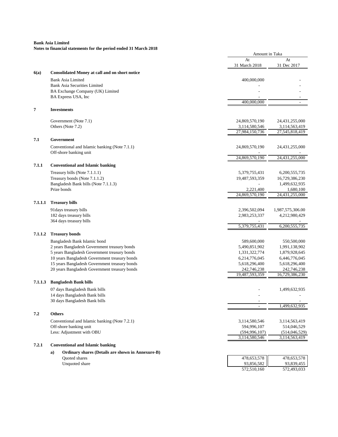| Twics to financial statements for the period ended 31 march 2010 |                                                                | Amount in Taka                |                               |
|------------------------------------------------------------------|----------------------------------------------------------------|-------------------------------|-------------------------------|
|                                                                  |                                                                | At                            | At                            |
|                                                                  |                                                                | 31 March 2018                 | 31 Dec 2017                   |
| 6(a)                                                             | <b>Consolidated Money at call and on short notice</b>          |                               |                               |
|                                                                  | <b>Bank Asia Limited</b>                                       | 400,000,000                   |                               |
|                                                                  | Bank Asia Securities Limited                                   |                               |                               |
|                                                                  | BA Exchange Company (UK) Limited<br>BA Express USA, Inc        |                               |                               |
|                                                                  |                                                                | 400,000,000                   |                               |
| 7                                                                | <b>Investments</b>                                             |                               |                               |
|                                                                  | Government (Note 7.1)                                          | 24,869,570,190                | 24,431,255,000                |
|                                                                  | Others (Note 7.2)                                              | 3,114,580,546                 | 3,114,563,419                 |
|                                                                  |                                                                | 27,984,150,736                | 27,545,818,419                |
| 7.1                                                              | Government                                                     |                               |                               |
|                                                                  | Conventional and Islamic banking (Note 7.1.1)                  | 24,869,570,190                | 24,431,255,000                |
|                                                                  | Off-shore banking unit                                         |                               |                               |
|                                                                  |                                                                | 24,869,570,190                | 24,431,255,000                |
| 7.1.1                                                            | <b>Conventional and Islamic banking</b>                        |                               |                               |
|                                                                  | Treasury bills (Note 7.1.1.1)                                  | 5,379,755,431                 | 6,200,555,735                 |
|                                                                  | Treasury bonds (Note 7.1.1.2)                                  | 19,487,593,359                | 16,729,386,230                |
|                                                                  | Bangladesh Bank bills (Note 7.1.1.3)                           |                               | 1,499,632,935                 |
|                                                                  | Prize bonds                                                    | 2,221,400                     | 1,680,100                     |
|                                                                  |                                                                | 24,869,570,190                | 24,431,255,000                |
| 7.1.1.1                                                          | <b>Treasury bills</b>                                          |                               |                               |
|                                                                  | 91 days treasury bills                                         | 2,396,502,094                 | 1,987,575,306.00              |
|                                                                  | 182 days treasury bills                                        | 2,983,253,337                 | 4,212,980,429                 |
|                                                                  | 364 days treasury bills                                        |                               |                               |
|                                                                  |                                                                | 5,379,755,431                 | 6,200,555,735                 |
| 7.1.1.2                                                          | <b>Treasury bonds</b>                                          |                               |                               |
|                                                                  | Bangladesh Bank Islamic bond                                   | 589,600,000                   | 550,500,000                   |
|                                                                  | 2 years Bangladesh Government treasury bonds                   | 5,490,851,902                 | 1,991,138,902                 |
|                                                                  | 5 years Bangladesh Government treasury bonds                   | 1,331,322,774                 | 1,879,928,645                 |
|                                                                  | 10 years Bangladesh Government treasury bonds                  | 6,214,776,045                 | 6,446,776,045                 |
|                                                                  | 15 years Bangladesh Government treasury bonds                  | 5,618,296,400                 | 5,618,296,400                 |
|                                                                  | 20 years Bangladesh Government treasury bonds                  | 242,746,238<br>19,487,593,359 | 242,746,238<br>16,729,386,230 |
|                                                                  |                                                                |                               |                               |
| 7.1.1.3                                                          | <b>Bangladesh Bank bills</b>                                   |                               |                               |
|                                                                  | 07 days Bangladesh Bank bills                                  |                               | 1,499,632,935                 |
|                                                                  | 14 days Bangladesh Bank bills<br>30 days Bangladesh Bank bills |                               |                               |
|                                                                  |                                                                |                               | 1,499,632,935                 |
| 7.2                                                              | <b>Others</b>                                                  |                               |                               |
|                                                                  | Conventional and Islamic banking (Note 7.2.1)                  | 3,114,580,546                 | 3,114,563,419                 |
|                                                                  | Off-shore banking unit                                         | 594,996,107                   | 514,046,529                   |
|                                                                  | Less: Adjustment with OBU                                      | (594, 996, 107)               | (514, 046, 529)               |
|                                                                  |                                                                | 3,114,580,546                 | 3,114,563,419                 |
| 7.2.1                                                            | <b>Conventional and Islamic banking</b>                        |                               |                               |
|                                                                  | Ordinary shares (Details are shown in Annexure-B)<br>a)        |                               |                               |
|                                                                  | <b>Ouoted shares</b>                                           | 478,653,578                   | 478,653,578                   |
|                                                                  | Unquoted share                                                 | 93,856,582                    | 93,839,455                    |
|                                                                  |                                                                | 572,510,160                   | 572,493,033                   |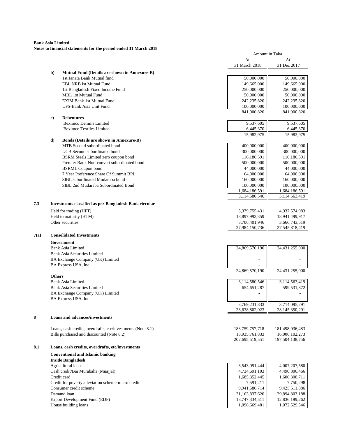## **Notes to financial statements for the period ended 31 March 2018**

|      |                                  |                                                        |                | Amount in Taka |  |  |
|------|----------------------------------|--------------------------------------------------------|----------------|----------------|--|--|
|      |                                  |                                                        | At             | At             |  |  |
|      |                                  |                                                        | 31 March 2018  | 31 Dec 2017    |  |  |
|      | $\mathbf{b}$                     | <b>Mutual Fund (Details are shown in Annexure-B)</b>   |                |                |  |  |
|      |                                  | 1st Janata Bank Mutual fund                            | 50,000,000     | 50,000,000     |  |  |
|      |                                  | <b>EBL NRB Ist Mutual Fund</b>                         | 149,665,000    | 149,665,000    |  |  |
|      |                                  | 1st Bangladesh Fixed Income Fund                       | 250,000,000    | 250,000,000    |  |  |
|      |                                  | MBL 1st Mutual Fund                                    | 50,000,000     | 50,000,000     |  |  |
|      |                                  | <b>EXIM Bank 1st Mutual Fund</b>                       | 242,235,820    | 242,235,820    |  |  |
|      |                                  | UFS-Bank Asia Unit Fund                                | 100,000,000    | 100,000,000    |  |  |
|      |                                  |                                                        | 841,900,820    | 841,900,820    |  |  |
|      | c)                               | <b>Debentures</b>                                      |                |                |  |  |
|      |                                  | <b>Beximco Denims Limited</b>                          | 9,537,605      | 9,537,605      |  |  |
|      |                                  | <b>Beximco Textiles Limited</b>                        | 6,445,370      | 6,445,370      |  |  |
|      |                                  |                                                        | 15,982,975     | 15,982,975     |  |  |
|      | d)                               | <b>Bonds (Details are shown in Annexure-B)</b>         |                |                |  |  |
|      |                                  | MTB Second subordinated bond                           | 400,000,000    | 400,000,000    |  |  |
|      |                                  | UCB Second subordinated bond                           | 300,000,000    | 300,000,000    |  |  |
|      |                                  | BSRM Steels Limited zero coupon bond                   | 116,186,591    | 116,186,591    |  |  |
|      |                                  | Premier Bank Non-convert subordinated bond             | 500,000,000    | 500,000,000    |  |  |
|      |                                  | <b>BSRML Coupon bond</b>                               | 44,000,000     | 44,000,000     |  |  |
|      |                                  | 7 Year Preference Share Of Summit BPL                  | 64,000,000     | 64,000,000     |  |  |
|      |                                  | SIBL subordinated Mudaraba bond                        | 160,000,000    | 160,000,000    |  |  |
|      |                                  | SIBL 2nd Mudaraba Subordinated Bond                    | 100,000,000    | 100,000,000    |  |  |
|      |                                  |                                                        | 1,684,186,591  | 1,684,186,591  |  |  |
|      |                                  |                                                        | 3,114,580,546  | 3,114,563,419  |  |  |
| 7.3  |                                  | Investments classified as per Bangladesh Bank circular |                |                |  |  |
|      |                                  | Held for trading (HFT)                                 | 5,379,755,431  | 4,937,574,983  |  |  |
|      |                                  | Held to maturity (HTM)                                 | 18,897,993,359 | 18,941,499,917 |  |  |
|      |                                  | Other securities                                       | 3,706,401,946  | 3,666,743,519  |  |  |
|      |                                  |                                                        | 27,984,150,736 | 27,545,818,419 |  |  |
| 7(a) |                                  | <b>Consolidated Investments</b>                        |                |                |  |  |
|      |                                  | Government                                             |                |                |  |  |
|      |                                  | Bank Asia Limited                                      | 24,869,570,190 | 24,431,255,000 |  |  |
|      |                                  | <b>Bank Asia Securities Limited</b>                    |                |                |  |  |
|      |                                  | BA Exchange Company (UK) Limited                       |                |                |  |  |
|      |                                  | BA Express USA, Inc.                                   |                |                |  |  |
|      |                                  |                                                        | 24,869,570,190 | 24,431,255,000 |  |  |
|      | <b>Others</b>                    |                                                        |                |                |  |  |
|      |                                  | <b>Bank Asia Limited</b>                               | 3,114,580,546  | 3,114,563,419  |  |  |
|      |                                  | <b>Bank Asia Securities Limited</b>                    | 654, 651, 287  | 599,531,872    |  |  |
|      | BA Exchange Company (UK) Limited |                                                        | ä,             |                |  |  |
|      |                                  | BA Express USA, Inc                                    |                |                |  |  |
|      |                                  |                                                        | 3,769,231,833  | 3,714,095,291  |  |  |
|      |                                  |                                                        | 28,638,802,023 | 28,145,350,291 |  |  |

#### **8 Loans and advances/investments**

 $7(a)$ 

Loans, cash credits, overdrafts, etc/investments (Note 8.1) Bills purchased and discounted (Note 8.2)

## **8.1 Loans, cash credits, overdrafts, etc/investments**

#### **Conventional and Islamic banking Inside Bangladesh** Agricultural loan Cash credit/Bai Murabaha (Muajjal) Credit card 1,685,352,445 | 1,600,308,711 Credit for poverty alleviation scheme-micro credit

Consumer credit scheme Export Development Fund (EDF) House building loans  $1,096,669,481$ 

| 183, 759, 757, 718 | 181,498,036,483    |
|--------------------|--------------------|
| 18,935,761,833     | 16,006,102,273     |
| 202,695,519,551    | 197, 504, 138, 756 |

| mənc banzagesh                                     |                |                |
|----------------------------------------------------|----------------|----------------|
| Agricultural loan                                  | 3,543,091,444  | 4,007,207,580  |
| Cash credit/Bai Murabaha (Muajjal)                 | 4,734,691,103  | 4,490,806,466  |
| Credit card                                        | 1,685,352,445  | 1,600,308,711  |
| Credit for poverty alleviation scheme-micro credit | 7,591,211      | 7.750.298      |
| Consumer credit scheme                             | 9,941,586,714  | 9.425.511.886  |
| Demand loan                                        | 31,163,837,620 | 29.894.803.188 |
| <b>Export Development Fund (EDF)</b>               | 13,747,334,511 | 12.836.199.262 |
| House building loans                               | 1.096.669.481  | 1.072.529.546  |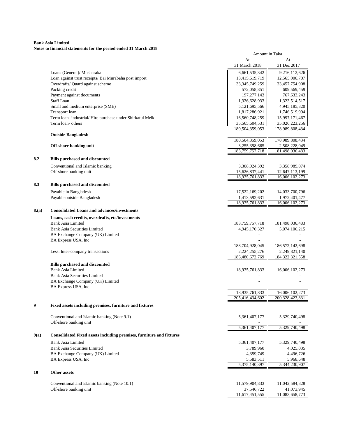#### **Bank Asia Limited Notes to financial statements for the period ended 31 March 2018**

|       |                                                                                           | Amount in Taka                   |                                     |
|-------|-------------------------------------------------------------------------------------------|----------------------------------|-------------------------------------|
|       |                                                                                           | At<br>31 March 2018              | At<br>31 Dec 2017                   |
|       |                                                                                           |                                  |                                     |
|       | Loans (General)/ Musharaka                                                                | 6,661,535,342<br>13,415,619,719  | 9,216,112,626                       |
|       | Loan against trust receipts/ Bai Murabaha post import<br>Overdrafts/ Quard against scheme | 33, 345, 749, 259                | 12,565,006,707<br>33,457,754,908    |
|       | Packing credit                                                                            | 572,058,851                      | 609,569,459                         |
|       | Payment against documents                                                                 | 197, 277, 143                    | 767, 633, 243                       |
|       | <b>Staff Loan</b>                                                                         | 1,326,628,933                    | 1,323,514,517                       |
|       | Small and medium enterprise (SME)                                                         | 5,121,695,566                    | 4,945,185,320                       |
|       | Transport loan                                                                            | 1,817,286,921                    | 1,746,519,994                       |
|       | Term loan- industrial/Hire purchase under Shirkatul Melk                                  | 16,560,748,259                   | 15,997,171,467                      |
|       | Term loan- others                                                                         | 35,565,604,531                   | 35,026,223,256                      |
|       |                                                                                           | 180,504,359,053                  | 178,989,808,434                     |
|       | <b>Outside Bangladesh</b>                                                                 |                                  |                                     |
|       |                                                                                           | 180,504,359,053                  | 178,989,808,434                     |
|       | Off-shore banking unit                                                                    | 3,255,398,665                    | 2,508,228,049                       |
|       |                                                                                           | 183, 759, 757, 718               | 181,498,036,483                     |
| 8.2   | <b>Bills purchased and discounted</b>                                                     |                                  |                                     |
|       | Conventional and Islamic banking                                                          | 3,308,924,392                    | 3,358,989,074                       |
|       | Off-shore banking unit                                                                    | 15,626,837,441                   | 12,647,113,199                      |
|       |                                                                                           | 18,935,761,833                   | 16,006,102,273                      |
| 8.3   | <b>Bills purchased and discounted</b>                                                     |                                  |                                     |
|       |                                                                                           |                                  |                                     |
|       | Payable in Bangladesh                                                                     | 17,522,169,202                   | 14,033,700,796                      |
|       | Payable outside Bangladesh                                                                | 1,413,592,631<br>18,935,761,833  | 1,972,401,477<br>16,006,102,273     |
|       |                                                                                           |                                  |                                     |
| 8.(a) | <b>Consolidated Loans and advances/investments</b>                                        |                                  |                                     |
|       | Loans, cash credits, overdrafts, etc/investments                                          |                                  |                                     |
|       | <b>Bank Asia Limited</b>                                                                  | 183, 759, 757, 718               | 181,498,036,483                     |
|       | <b>Bank Asia Securities Limited</b>                                                       | 4,945,170,327                    | 5,074,106,215                       |
|       | BA Exchange Company (UK) Limited                                                          |                                  |                                     |
|       | BA Express USA, Inc                                                                       |                                  |                                     |
|       |                                                                                           | 188,704,928,045                  | 186,572,142,698                     |
|       | Less: Inter-company transactions                                                          | 2,224,255,276<br>186,480,672,769 | 2,249,821,140<br>184, 322, 321, 558 |
|       |                                                                                           |                                  |                                     |
|       | <b>Bills purchased and discounted</b>                                                     |                                  |                                     |
|       | <b>Bank Asia Limited</b>                                                                  | 18,935,761,833                   | 16,006,102,273                      |
|       | <b>Bank Asia Securities Limited</b>                                                       |                                  |                                     |
|       | BA Exchange Company (UK) Limited                                                          |                                  |                                     |
|       | BA Express USA, Inc                                                                       | 18,935,761,833                   |                                     |
|       |                                                                                           | 205,416,434,602                  | 16,006,102,273<br>200,328,423,831   |
|       |                                                                                           |                                  |                                     |
| 9     | Fixed assets including premises, furniture and fixtures                                   |                                  |                                     |
|       |                                                                                           |                                  |                                     |
|       | Conventional and Islamic banking (Note 9.1)<br>Off-shore banking unit                     | 5,361,407,177                    | 5,329,740,498                       |
|       |                                                                                           | 5,361,407,177                    | 5,329,740,498                       |
|       |                                                                                           |                                  |                                     |
| 9(a)  | Consolidated Fixed assets including premises, furniture and fixtures                      |                                  |                                     |
|       | <b>Bank Asia Limited</b>                                                                  | 5,361,407,177                    | 5,329,740,498                       |
|       | <b>Bank Asia Securities Limited</b>                                                       | 3,789,960                        | 4,025,035                           |
|       | BA Exchange Company (UK) Limited                                                          | 4,359,749                        | 4,496,726                           |
|       | BA Express USA, Inc                                                                       | 5,583,511                        | 5,968,648                           |
|       |                                                                                           | 5,375,140,397                    | 5,344,230,907                       |
| 10    | Other assets                                                                              |                                  |                                     |
|       |                                                                                           |                                  |                                     |
|       | Conventional and Islamic banking (Note 10.1)                                              | 11,579,904,833                   | 11,042,584,828                      |
|       | Off-shore banking unit                                                                    | 37,546,722                       | 41,073,945                          |
|       |                                                                                           | 11,617,451,555                   | 11,083,658,773                      |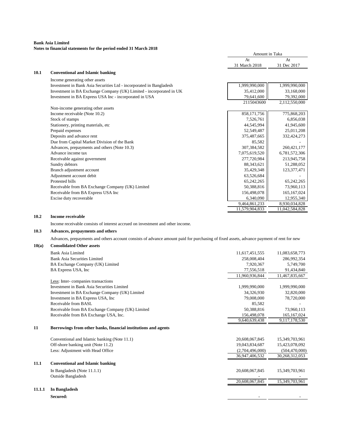## **Notes to financial statements for the period ended 31 March 2018**

| At<br>31 March 2018<br>10.1<br><b>Conventional and Islamic banking</b><br>Income generating other assets<br>1,999,990,000<br>Investment in Bank Asia Securities Ltd - incorporated in Bangladesh | At<br>31 Dec 2017<br>1,999,990,000<br>33,168,000<br>79,392,000 |
|--------------------------------------------------------------------------------------------------------------------------------------------------------------------------------------------------|----------------------------------------------------------------|
|                                                                                                                                                                                                  |                                                                |
|                                                                                                                                                                                                  |                                                                |
|                                                                                                                                                                                                  |                                                                |
|                                                                                                                                                                                                  |                                                                |
|                                                                                                                                                                                                  |                                                                |
| Investment in BA Exchange Company (UK) Limited - incorporated in UK<br>35,412,000                                                                                                                |                                                                |
| Investment in BA Express USA Inc - incorporated in USA<br>79,641,600                                                                                                                             |                                                                |
| 2115043600                                                                                                                                                                                       | 2,112,550,000                                                  |
| Non-income generating other assets                                                                                                                                                               |                                                                |
| 858,171,756<br>Income receivable (Note 10.2)                                                                                                                                                     | 775,868,203                                                    |
| 7,526,761<br>Stock of stamps                                                                                                                                                                     | 6,856,038                                                      |
| 44,545,994<br>Stationery, printing materials, etc.                                                                                                                                               | 41,945,600                                                     |
| Prepaid expenses<br>52,549,487                                                                                                                                                                   | 25,011,208                                                     |
| Deposits and advance rent<br>375,487,665                                                                                                                                                         | 332,424,273                                                    |
| Due from Capital Market Division of the Bank                                                                                                                                                     | 85,582                                                         |
| Advances, prepayments and others (Note 10.3)<br>307,384,582                                                                                                                                      | 260,421,177                                                    |
| Advance income tax<br>7,075,619,520                                                                                                                                                              | 6,781,572,306                                                  |
| Receivable against government<br>277,720,984                                                                                                                                                     | 213,945,758                                                    |
| Sundry debtors<br>88,343,621                                                                                                                                                                     | 51,288,052                                                     |
| Branch adjustment account<br>35,429,348                                                                                                                                                          | 123,377,471                                                    |
| Adjustment account debit<br>63,526,684                                                                                                                                                           |                                                                |
| Protested bills<br>65,242,265                                                                                                                                                                    | 65,242,265                                                     |
| 50,388,816<br>Receivable from BA Exchange Company (UK) Limited                                                                                                                                   | 73,960,113                                                     |
| Receivable from BA Express USA Inc<br>156,498,078                                                                                                                                                | 165, 167, 024                                                  |
| Excise duty recoverable<br>6,340,090                                                                                                                                                             | 12,955,340                                                     |
| 9,464,861,233                                                                                                                                                                                    | 8,930,034,828                                                  |
| 11,579,904,833                                                                                                                                                                                   | 11,042,584,828                                                 |

#### **10.2 Income receivable**

Income receivable consists of interest accrued on investment and other income.

# **10.3 Advances, prepayments and others**

Advances, prepayments and others account consists of advance amount paid for purchasing of fixed assets, advance payment of rent for new

#### **10(a) Consolidated Other assets**

|        | Bank Asia Limited                                              | 11,617,451,555  | 11,083,658,773  |
|--------|----------------------------------------------------------------|-----------------|-----------------|
|        | <b>Bank Asia Securities Limited</b>                            | 258,008,404     | 286,992,354     |
|        | BA Exchange Company (UK) Limited                               | 7.920.367       | 5,749,700       |
|        | BA Express USA, Inc.                                           | 77,556,518      | 91,434,840      |
|        |                                                                | 11,960,936,844  | 11,467,835,667  |
|        | Less: Inter-companies transactions                             |                 |                 |
|        | Investment in Bank Asia Securities Limited                     | 1,999,990,000   | 1,999,990,000   |
|        | Investment in BA Exchange Company (UK) Limited                 | 34,326,930      | 32,820,000      |
|        | Investment in BA Express USA, Inc                              | 79,008,000      | 78,720,000      |
|        | Receivable from BASL                                           | 85,582          |                 |
|        | Receivable from BA Exchange Company (UK) Limited               | 50,388,816      | 73,960,113      |
|        | Receivable from BA Exchange USA, Inc.                          | 156,498,078     | 165,167,024     |
|        |                                                                | 9,640,639,438   | 9,117,178,530   |
| 11     | Borrowings from other banks, financial institutions and agents |                 |                 |
|        | Conventional and Islamic banking (Note 11.1)                   | 20,608,067,845  | 15,349,703,961  |
|        | Off-shore banking unit (Note 11.2)                             | 19,043,834,687  | 15,423,078,092  |
|        | Less: Adjustment with Head Office                              | (2,704,496,000) | (504, 470, 000) |
|        |                                                                | 36,947,406,532  | 30,268,312,053  |
| 11.1   | <b>Conventional and Islamic banking</b>                        |                 |                 |
|        | In Bangladesh (Note $11.1.1$ )                                 | 20,608,067,845  | 15,349,703,961  |
|        | <b>Outside Bangladesh</b>                                      |                 |                 |
|        |                                                                | 20,608,067,845  | 15,349,703,961  |
| 11.1.1 | In Bangladesh                                                  |                 |                 |

**Secured:**  $\qquad \qquad$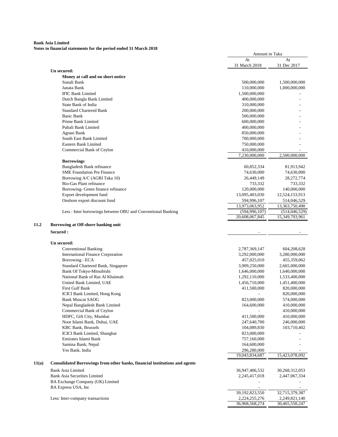|       |                                                                                    | Amount in Taka                  |                                 |
|-------|------------------------------------------------------------------------------------|---------------------------------|---------------------------------|
|       |                                                                                    | At                              | At                              |
|       |                                                                                    | 31 March 2018                   | 31 Dec 2017                     |
|       | Un secured:<br>Money at call and on short notice                                   |                                 |                                 |
|       | Sonali Bank                                                                        | 500,000,000                     | 1,500,000,000                   |
|       | Janata Bank                                                                        | 110,000,000                     | 1,000,000,000                   |
|       | <b>IFIC Bank Limited</b>                                                           | 1,500,000,000                   |                                 |
|       | Dutch Bangla Bank Limited                                                          | 400,000,000                     |                                 |
|       | State Bank of India                                                                | 310,000,000                     |                                 |
|       | <b>Standard Chartered Bank</b>                                                     | 200,000,000                     |                                 |
|       | <b>Basic Bank</b>                                                                  | 500,000,000                     |                                 |
|       | Prime Bank Limited                                                                 | 600,000,000                     |                                 |
|       | Pubali Bank Limited                                                                | 400,000,000                     |                                 |
|       | Agrani Bank                                                                        | 850,000,000                     |                                 |
|       | South East Bank Limited                                                            | 700,000,000                     |                                 |
|       | Eastern Bank Limited                                                               | 750,000,000                     |                                 |
|       | Commercial Bank of Ceylon                                                          | 410,000,000                     |                                 |
|       |                                                                                    | 7,230,000,000                   | 2,500,000,000                   |
|       | <b>Borrowings</b>                                                                  |                                 |                                 |
|       | Bangladesh Bank refinance                                                          | 60,852,334                      | 81,913,942                      |
|       | <b>SME Foundation Pre Finance</b>                                                  | 74,630,000                      | 74,630,000                      |
|       | Borrowing A/C (AGRI Taka 10)                                                       | 26,449,149                      | 28, 272, 774                    |
|       | Bio-Gas Plant refinance                                                            | 733,332                         | 733,332                         |
|       | Borrowing- Green finance refinance                                                 | 120,000,000                     | 140,000,000                     |
|       | Export development fund                                                            | 13,095,403,030                  | 12,524,153,913                  |
|       | Onshore export discount fund                                                       | 594,996,107                     | 514,046,529                     |
|       |                                                                                    | 13,973,063,952                  | 13,363,750,490                  |
|       | Less: Inter borrowings between OBU and Conventional Banking                        | (594, 996, 107)                 | (514, 046, 529)                 |
|       |                                                                                    | 20,608,067,845                  | 15,349,703,961                  |
| 11.2  | Borrowing at Off-shore banking unit                                                |                                 |                                 |
|       |                                                                                    |                                 |                                 |
|       | Secured :                                                                          |                                 |                                 |
|       | Un secured:                                                                        |                                 |                                 |
|       | <b>Conventional Banking</b>                                                        | 2,787,369,147                   | 604,208,628                     |
|       | <b>International Finance Corporation</b>                                           | 3,292,000,000                   | 3,280,000,000                   |
|       | Borrowing - ECA                                                                    | 457,025,010                     | 455,359,062                     |
|       | Standard Chartered Bank, Singapore                                                 | 3,909,250,000                   | 2,665,000,000                   |
|       | Bank Of Tokyo-Mitsubishi                                                           | 1,646,000,000                   |                                 |
|       | National Bank of Ras Al Khaimah                                                    | 1,292,110,000                   | 1,640,000,000<br>1,533,400,000  |
|       | United Bank Limited, UAE                                                           | 1,456,710,000                   | 1,451,400,000                   |
|       | <b>First Gulf Bank</b>                                                             | 411,500,000                     | 820,000,000                     |
|       | <b>ICICI Bank Limited, Hong Kong</b>                                               | $\overline{\phantom{a}}$        | 820,000,000                     |
|       |                                                                                    | 823,000,000                     | 574,000,000                     |
|       | <b>Bank Muscat SAOG</b><br>Nepal Bangladesh Bank Limited                           | 164,600,000                     | 410,000,000                     |
|       | Commercial Bank of Ceylon                                                          |                                 | 410,000,000                     |
|       | HDFC, Gift City, Mumbai                                                            |                                 |                                 |
|       |                                                                                    | 411,500,000                     | 410,000,000                     |
|       | Noor Islami Bank, Dubai, UAE                                                       | 247,640,700                     | 246,000,000                     |
|       | <b>KBC Bank, Brussels</b>                                                          | 104,089,830                     | 103,710,402                     |
|       | ICICI Bank Limited, Shanghai                                                       | 823,000,000                     |                                 |
|       | Emirates Islami Bank                                                               | 757,160,000                     |                                 |
|       | Samina Bank, Nepal                                                                 | 164,600,000                     |                                 |
|       | Yes Bank, India                                                                    | 296,280,000<br>19,043,834,687   | 15,423,078,092                  |
| 11(a) | <b>Consolidated Borrowings from other banks, financial institutions and agents</b> |                                 |                                 |
|       | <b>Bank Asia Limited</b>                                                           |                                 |                                 |
|       |                                                                                    | 36,947,406,532                  | 30,268,312,053                  |
|       | <b>Bank Asia Securities Limited</b>                                                | 2,245,417,018                   | 2,447,067,334                   |
|       | BA Exchange Company (UK) Limited                                                   |                                 |                                 |
|       | BA Express USA, Inc                                                                |                                 |                                 |
|       |                                                                                    | 39,192,823,550                  | 32,715,379,387                  |
|       | Less: Inter-company transactions                                                   | 2,224,255,276<br>36,968,568,274 | 2,249,821,140<br>30,465,558,247 |
|       |                                                                                    |                                 |                                 |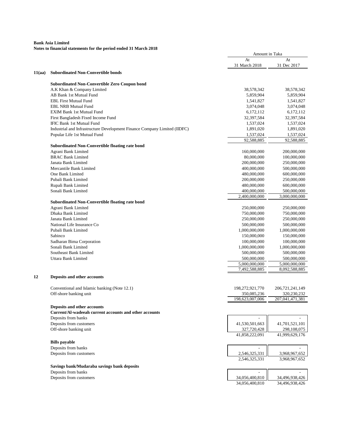|        |                                                                           | Amount in Taka                 |                                |
|--------|---------------------------------------------------------------------------|--------------------------------|--------------------------------|
|        |                                                                           | At<br>31 March 2018            | At<br>31 Dec 2017              |
| 11(aa) | <b>Subordinated Non-Convertible bonds</b>                                 |                                |                                |
|        | <b>Subordinated Non-Convertible Zero Coupon bond</b>                      |                                |                                |
|        | A.K Khan & Company Limited                                                | 38,578,342                     | 38,578,342                     |
|        | AB Bank 1st Mutual Fund                                                   | 5,859,904                      | 5,859,904                      |
|        | <b>EBL First Mutual Fund</b>                                              | 1,541,827                      | 1,541,827                      |
|        | <b>EBL NRB Mutual Fund</b>                                                | 3,074,048                      | 3,074,048                      |
|        | <b>EXIM Bank 1st Mutual Fund</b>                                          | 6,172,112                      | 6,172,112                      |
|        | First Bangladesh Fixed Income Fund                                        | 32,397,584                     | 32,397,584                     |
|        | <b>IFIC Bank 1st Mutual Fund</b>                                          | 1,537,024                      | 1,537,024                      |
|        | Industrial and Infrastructure Development Finance Company Limited (IIDFC) | 1,891,020                      | 1,891,020                      |
|        | Popular Life 1st Mutual Fund                                              | 1,537,024                      | 1,537,024                      |
|        | <b>Subordinated Non-Convertible floating rate bond</b>                    | 92,588,885                     | 92,588,885                     |
|        | Agrani Bank Limited                                                       | 160,000,000                    | 200,000,000                    |
|        | <b>BRAC Bank Limited</b>                                                  | 80,000,000                     | 100,000,000                    |
|        | Janata Bank Limited                                                       | 200,000,000                    | 250,000,000                    |
|        | Mercantile Bank Limited                                                   | 400,000,000                    | 500,000,000                    |
|        | One Bank Limited                                                          | 480,000,000                    | 600,000,000                    |
|        | Pubali Bank Limited                                                       | 200,000,000                    | 250,000,000                    |
|        | Rupali Bank Limited                                                       | 480,000,000                    | 600,000,000                    |
|        | Sonali Bank Limited                                                       | 400,000,000                    | 500,000,000                    |
|        |                                                                           | 2,400,000,000                  | 3,000,000,000                  |
|        | Subordinated Non-Convertible floating rate bond                           |                                |                                |
|        | Agrani Bank Limited                                                       | 250,000,000                    | 250,000,000                    |
|        | Dhaka Bank Limited                                                        | 750,000,000                    | 750,000,000                    |
|        | Janata Bank Limited                                                       | 250,000,000                    | 250,000,000                    |
|        | National Life Insurance Co                                                | 500,000,000                    | 500,000,000                    |
|        | Pubali Bank Limited                                                       | 1,000,000,000                  | 1,000,000,000                  |
|        | Sabinco                                                                   | 150,000,000                    | 150,000,000                    |
|        | Sadharan Bima Corporation                                                 | 100,000,000                    | 100,000,000                    |
|        | Sonali Bank Limited                                                       | 1,000,000,000                  | 1,000,000,000                  |
|        | Southeast Bank Limited                                                    | 500,000,000                    | 500,000,000                    |
|        | Uttara Bank Limited                                                       | 500,000,000                    | 500,000,000                    |
|        |                                                                           | 5,000,000,000                  | 5,000,000,000                  |
|        |                                                                           | 7,492,588,885                  | 8,092,588,885                  |
| 12     | Deposits and other accounts                                               |                                |                                |
|        | Conventional and Islamic banking (Note 12.1)                              | 198,272,921,770                | 206, 721, 241, 149             |
|        | Off-shore banking unit                                                    | 350,085,236                    | 320,230,232                    |
|        |                                                                           | 198,623,007,006                | 207,041,471,381                |
|        | Deposits and other accounts                                               |                                |                                |
|        | Current/Al-wadeeah current accounts and other accounts                    |                                |                                |
|        | Deposits from banks                                                       |                                |                                |
|        | Deposits from customers                                                   | 41,530,501,663                 | 41,701,521,101                 |
|        | Off-shore banking unit                                                    | 327,720,428                    | 298,108,075                    |
|        |                                                                           | 41,858,222,091                 | 41,999,629,176                 |
|        | <b>Bills</b> payable                                                      |                                |                                |
|        | Deposits from banks                                                       |                                |                                |
|        | Deposits from customers                                                   | 2,546,325,331<br>2,546,325,331 | 3,968,967,652<br>3,968,967,652 |
|        | Savings bank/Mudaraba savings bank deposits                               |                                |                                |
|        | Deposits from banks                                                       |                                |                                |
|        | Deposits from customers                                                   | 34,056,400,810                 | 34,496,938,426                 |
|        |                                                                           | 34,056,400,810                 | 34,496,938,426                 |
|        |                                                                           |                                |                                |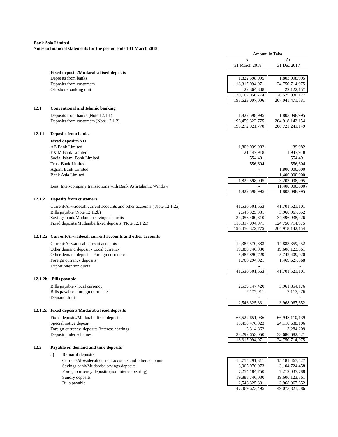|         |                                                                        | Amount in Taka              |                                |
|---------|------------------------------------------------------------------------|-----------------------------|--------------------------------|
|         |                                                                        | At                          | At                             |
|         |                                                                        | 31 March 2018               | 31 Dec 2017                    |
|         | Fixed deposits/Mudaraba fixed deposits                                 |                             |                                |
|         | Deposits from banks                                                    | 1,822,598,995               | 1,803,098,995                  |
|         | Deposits from customers                                                | 118,317,094,971             | 124,750,714,975                |
|         | Off-shore banking unit                                                 | 22,364,808                  | 22, 122, 157                   |
|         |                                                                        | 120, 162, 058, 774          | 126,575,936,127                |
|         |                                                                        | 198,623,007,006             | 207,041,471,381                |
| 12.1    | <b>Conventional and Islamic banking</b>                                |                             |                                |
|         | Deposits from banks (Note 12.1.1)                                      | 1,822,598,995               | 1,803,098,995                  |
|         | Deposits from customers (Note 12.1.2)                                  | 196,450,322,775             | 204,918,142,154                |
|         |                                                                        | 198,272,921,770             | 206.721.241.149                |
|         |                                                                        |                             |                                |
| 12.1.1  | <b>Deposits from banks</b>                                             |                             |                                |
|         | <b>Fixed deposit/SND</b>                                               |                             |                                |
|         | <b>AB Bank Limited</b>                                                 | 1,800,039,982               | 39,982                         |
|         | <b>EXIM Bank Limited</b>                                               | 21,447,918                  | 1,947,918                      |
|         | Social Islami Bank Limited                                             | 554,491                     | 554,491                        |
|         | <b>Trust Bank Limited</b>                                              | 556,604                     | 556,604                        |
|         | Agrani Bank Limited<br><b>Bank Asia Limited</b>                        |                             | 1,800,000,000                  |
|         |                                                                        | 1,822,598,995               | 1,400,000,000<br>3,203,098,995 |
|         | Less: Inter-company transactions with Bank Asia Islamic Window         |                             | (1,400,000,000)                |
|         |                                                                        | 1,822,598,995               | 1,803,098,995                  |
|         |                                                                        |                             |                                |
| 12.1.2  | <b>Deposits from customers</b>                                         |                             |                                |
|         | Current/Al-wadeeah current accounts and other accounts (Note 12.1.2a)  | 41,530,501,663              | 41,701,521,101                 |
|         | Bills payable (Note 12.1.2b)                                           | 2,546,325,331               | 3,968,967,652                  |
|         | Savings bank/Mudaraba savings deposits                                 | 34,056,400,810              | 34,496,938,426                 |
|         | Fixed deposits/Mudaraba fixed deposits (Note 12.1.2c)                  | 118,317,094,971             | 124,750,714,975                |
|         |                                                                        | 196,450,322,775             | 204,918,142,154                |
| 12.1.2a | Current/Al-wadeeah current accounts and other accounts                 |                             |                                |
|         | Current/Al-wadeeah current accounts                                    | 14,387,570,883              | 14,883,359,452                 |
|         | Other demand deposit - Local currency                                  | 19,888,746,030              | 19,606,123,861                 |
|         | Other demand deposit - Foreign currencies                              | 5,487,890,729               | 5,742,409,920                  |
|         | Foreign currency deposits                                              | 1,766,294,021               | 1,469,627,868                  |
|         | Export retention quota                                                 |                             |                                |
|         |                                                                        | 41,530,501,663              | 41,701,521,101                 |
| 12.1.2b | <b>Bills</b> payable                                                   |                             |                                |
|         | Bills payable - local currency                                         | 2,539,147,420               | 3,961,854,176                  |
|         | Bills payable - foreign currencies                                     | 7,177,911                   | 7,113,476                      |
|         | Demand draft                                                           |                             |                                |
|         |                                                                        | 2,546,325,331               | 3,968,967,652                  |
|         | 12.1.2c Fixed deposits/Mudaraba fixed deposits                         |                             |                                |
|         |                                                                        |                             |                                |
|         | Fixed deposits/Mudaraba fixed deposits                                 | 66,522,651,036              | 66,948,110,139                 |
|         | Special notice deposit<br>Foreign currency deposits (interest bearing) | 18,498,476,023<br>3,314,862 | 24,118,638,106<br>3,284,209    |
|         | Deposit under schemes                                                  | 33,292,653,050              | 33,680,682,521                 |
|         |                                                                        | 118,317,094,971             | 124,750,714,975                |
|         |                                                                        |                             |                                |
| 12.2    | Payable on demand and time deposits                                    |                             |                                |
|         | <b>Demand deposits</b><br>a)                                           |                             |                                |
|         | Current/Al-wadeeah current accounts and other accounts                 | 14,715,291,311              | 15, 181, 467, 527              |
|         | Savings bank/Mudaraba savings deposits                                 | 3,065,076,073               | 3,104,724,458                  |
|         | Foreign currency deposits (non interest bearing)                       | 7,254,184,750               | 7,212,037,788                  |
|         | Sundry deposits                                                        | 19,888,746,030              | 19,606,123,861                 |
|         | Bills payable                                                          | 2,546,325,331               | 3,968,967,652                  |
|         |                                                                        | 47,469,623,495              | 49,073,321,286                 |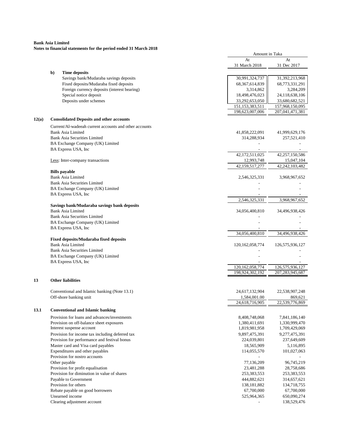|       |                                                                                  | Amount in Taka                        |                                    |
|-------|----------------------------------------------------------------------------------|---------------------------------------|------------------------------------|
|       |                                                                                  | At                                    | At                                 |
|       |                                                                                  | 31 March 2018                         | 31 Dec 2017                        |
|       | <b>Time deposits</b><br>b)                                                       |                                       |                                    |
|       | Savings bank/Mudaraba savings deposits                                           | 30,991,324,737                        | 31,392,213,968                     |
|       | Fixed deposits/Mudaraba fixed deposits                                           | 68, 367, 614, 839                     | 68,773,331,291                     |
|       | Foreign currency deposits (interest bearing)                                     | 3,314,862                             | 3,284,209                          |
|       | Special notice deposit                                                           | 18,498,476,023                        | 24,118,638,106                     |
|       | Deposits under schemes                                                           | 33,292,653,050                        | 33,680,682,521                     |
|       |                                                                                  | 151, 153, 383, 511<br>198,623,007,006 | 157,968,150,095<br>207,041,471,381 |
| 12(a) | <b>Consolidated Deposits and other accounts</b>                                  |                                       |                                    |
|       | Current/Al-wadeeah current accounts and other accounts                           |                                       |                                    |
|       | <b>Bank Asia Limited</b>                                                         | 41,858,222,091                        | 41,999,629,176                     |
|       | <b>Bank Asia Securities Limited</b>                                              | 314,288,934                           | 257,521,410                        |
|       | BA Exchange Company (UK) Limited                                                 |                                       |                                    |
|       | BA Express USA, Inc                                                              |                                       |                                    |
|       |                                                                                  | 42,172,511,025                        | 42,257,150,586                     |
|       | Less: Inter-company transactions                                                 | 12,993,748                            | 15,047,104                         |
|       |                                                                                  | 42,159,517,277                        | 42,242,103,482                     |
|       | <b>Bills</b> payable                                                             |                                       |                                    |
|       | <b>Bank Asia Limited</b>                                                         | 2,546,325,331                         | 3,968,967,652                      |
|       | <b>Bank Asia Securities Limited</b>                                              |                                       |                                    |
|       | BA Exchange Company (UK) Limited<br>BA Express USA, Inc.                         |                                       |                                    |
|       |                                                                                  | 2,546,325,331                         | 3,968,967,652                      |
|       | Savings bank/Mudaraba savings bank deposits                                      |                                       |                                    |
|       | <b>Bank Asia Limited</b>                                                         | 34,056,400,810                        | 34,496,938,426                     |
|       | <b>Bank Asia Securities Limited</b>                                              |                                       |                                    |
|       | BA Exchange Company (UK) Limited                                                 |                                       |                                    |
|       | BA Express USA, Inc                                                              |                                       |                                    |
|       |                                                                                  | 34,056,400,810                        | 34,496,938,426                     |
|       | Fixed deposits/Mudaraba fixed deposits<br><b>Bank Asia Limited</b>               |                                       |                                    |
|       | <b>Bank Asia Securities Limited</b>                                              | 120, 162, 058, 774                    | 126,575,936,127                    |
|       | BA Exchange Company (UK) Limited                                                 |                                       |                                    |
|       | BA Express USA, Inc                                                              |                                       |                                    |
|       |                                                                                  | 120, 162, 058, 774                    | 126,575,936,127                    |
|       |                                                                                  | 198,924,302,192                       | 207, 283, 945, 687                 |
| 13    | <b>Other liabilities</b>                                                         |                                       |                                    |
|       |                                                                                  | 24,617,132,904                        | 22,538,907,248                     |
|       | Conventional and Islamic banking (Note 13.1)<br>Off-shore banking unit           | 1,584,001.00                          | 869,621                            |
|       |                                                                                  | 24,618,716,905                        | 22,539,776,869                     |
| 13.1  | <b>Conventional and Islamic banking</b>                                          |                                       |                                    |
|       | Provision for loans and advances/investments                                     | 8,408,748,068                         | 7,841,186,140                      |
|       | Provision on off-balance sheet exposures                                         | 1,380,411,691                         | 1,330,999,470                      |
|       | Interest suspense account                                                        | 1,819,981,958                         | 1,709,429,069                      |
|       | Provision for income tax including deferred tax                                  | 9,897,475,391                         | 9,277,475,391                      |
|       | Provision for performance and festival bonus                                     | 224,039,801                           | 237,649,609                        |
|       | Master card and Visa card payables                                               | 18,565,909                            | 5,116,895                          |
|       | Expenditures and other payables                                                  | 114,055,570                           | 101,027,063                        |
|       | Provision for nostro accounts                                                    |                                       |                                    |
|       | Other payable                                                                    | 77,136,209                            | 96,745,219                         |
|       | Provision for profit equalisation<br>Provision for diminution in value of shares | 23,481,288<br>253,383,553             | 28,758,686<br>253,383,553          |
|       | Payable to Government                                                            | 444,882,621                           | 314,657,621                        |
|       | Provision for others                                                             | 138, 181, 882                         | 134,718,755                        |
|       | Rebate payable on good borrowers                                                 | 67,700,000                            | 67,700,000                         |
|       | Unearned income                                                                  | 525,964,365                           | 650,090,274                        |
|       | Clearing adjustment account                                                      |                                       | 138,529,476                        |
|       |                                                                                  |                                       |                                    |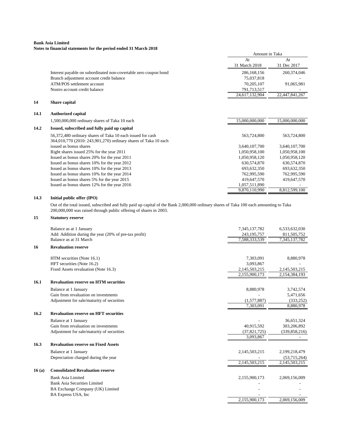#### **Bank Asia Limited Notes to financial statements for the period ended 31 March 2018**

|      |                                                                  | Amount in Taka |                |
|------|------------------------------------------------------------------|----------------|----------------|
|      |                                                                  | At             | At             |
|      |                                                                  | 31 March 2018  | 31 Dec 2017    |
|      | Interest payable on subordinated non-covertable zero coupon bond | 286,168,156    | 260,374,046    |
|      | Branch adjustment account credit balance                         | 75,037,818     |                |
|      | ATM/POS settlement account                                       | 70,205,107     | 91,065,981     |
|      | Nostro account credit balance                                    | 791,713,517    |                |
|      |                                                                  | 24,617,132,904 | 22,447,841,267 |
| 14   | Share capital                                                    |                |                |
| 14.1 | <b>Authorized capital</b>                                        |                |                |
|      | 1,500,000,000 ordinary shares of Taka 10 each                    | 15,000,000,000 | 15,000,000,000 |
| 14.2 | Issued, subscribed and fully paid up capital                     |                |                |
|      | 56,372,480 ordinary shares of Taka 10 each issued for cash       | 563,724,800    | 563,724,800    |
|      | 364,010,770 (2010: 243,901,270) ordinary shares of Taka 10 each  |                |                |
|      | issued as bonus shares                                           | 3,640,107,700  | 3,640,107,700  |
|      | Right shares issued 25% for the year 2011                        | 1,050,958,100  | 1,050,958,100  |
|      | Issued as bonus shares 20% for the year 2011                     | 1,050,958,120  | 1,050,958,120  |
|      | Issued as bonus shares 10% for the year 2012                     | 630,574,870    | 630,574,870    |
|      | Issued as bonus shares 10% for the year 2013                     | 693,632,350    | 693,632,350    |
|      | Issued as bonus shares 10% for the year 2014                     | 762,995,590    | 762,995,590    |
|      | Issued as bonus shares 5% for the year 2015                      | 419,647,570    | 419,647,570    |
|      | Issued as bonus shares 12% for the year 2016                     | 1,057,511,890  |                |
|      |                                                                  | 9,870,110,990  | 8,812,599,100  |

#### **14.3 Initial public offer (IPO)**

Out of the total issued, subscribed and fully paid up capital of the Bank 2,000,000 ordinary shares of Taka 100 each amounting to Taka 200,000,000 was raised through public offering of shares in 2003.

## **15 Statutory reserve**

|       | Balance as at 1 January                               | 7,345,137,782  | 6,533,632,030   |
|-------|-------------------------------------------------------|----------------|-----------------|
|       | Add: Addition during the year (20% of pre-tax profit) | 243,195,757    | 811,505,752     |
|       | Balance as at 31 March                                | 7,588,333,539  | 7,345,137,782   |
| 16    | <b>Revaluation reserve</b>                            |                |                 |
|       | HTM securities (Note 16.1)                            | 7,303,091      | 8,880,978       |
|       | HFT securities (Note 16.2)                            | 3,093,867      |                 |
|       | Fixed Assets revaluation (Note 16.3)                  | 2,145,503,215  | 2,145,503,215   |
|       |                                                       | 2,155,900,173  | 2,154,384,193   |
| 16.1  | <b>Revaluation reserve on HTM securities</b>          |                |                 |
|       | Balance at 1 January                                  | 8,880,978      | 3,742,574       |
|       | Gain from revaluation on investments                  |                | 5,471,656       |
|       | Adjustment for sale/maturity of securities            | (1,577,887)    | (333, 252)      |
|       |                                                       | 7,303,091      | 8,880,978       |
| 16.2  | <b>Revaluation reserve on HFT securities</b>          |                |                 |
|       | Balance at 1 January                                  |                | 36,651,324      |
|       | Gain from revaluation on investments                  | 40,915,592     | 303,206,892     |
|       | Adjustment for sale/maturity of securities            | (37, 821, 725) | (339, 858, 216) |
|       |                                                       | 3.093.867      |                 |
| 16.3  | <b>Revaluation reserve on Fixed Assets</b>            |                |                 |
|       | Balance at 1 January                                  | 2,145,503,215  | 2,199,218,479   |
|       | Depreciation charged during the year                  |                | (53,715,264)    |
|       |                                                       | 2,145,503,215  | 2,145,503,215   |
| 16(a) | <b>Consolidated Revaluation reserve</b>               |                |                 |
|       | <b>Bank Asia Limited</b>                              | 2,155,900,173  | 2,069,156,009   |
|       | <b>Bank Asia Securities Limited</b>                   |                |                 |
|       | BA Exchange Company (UK) Limited                      |                |                 |
|       | BA Express USA, Inc.                                  |                |                 |
|       |                                                       | 2,155,900,173  | 2,069,156,009   |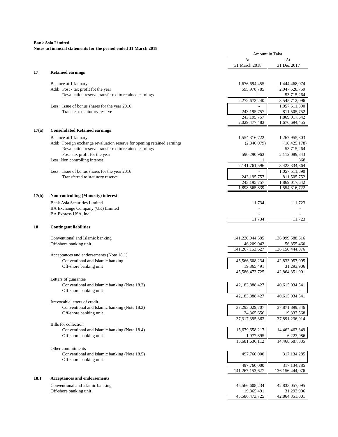|       |                                                                              | Amount in Taka                |                                  |
|-------|------------------------------------------------------------------------------|-------------------------------|----------------------------------|
|       |                                                                              | At<br>31 March 2018           | At<br>31 Dec 2017                |
| 17    | <b>Retained earnings</b>                                                     |                               |                                  |
|       | Balance at 1 January                                                         | 1,676,694,455                 | 1,444,468,074                    |
|       | Add: Post - tax profit fot the year                                          | 595,978,785                   | 2,047,528,759                    |
|       | Revaluation reserve transferred to retained earnings                         |                               | 53,715,264                       |
|       |                                                                              | 2,272,673,240                 | 3,545,712,096                    |
|       | Less: Issue of bonus shares for the year 2016                                |                               | 1,057,511,890                    |
|       | Transfer to statutory reserve                                                | 243,195,757                   | 811,505,752                      |
|       |                                                                              | 243, 195, 757                 | 1,869,017,642                    |
|       |                                                                              | 2,029,477,483                 | 1,676,694,455                    |
| 17(a) | <b>Consolidated Retained earnings</b>                                        |                               |                                  |
|       |                                                                              |                               |                                  |
|       | Balance at 1 January                                                         | 1,554,316,722                 | 1,267,955,303                    |
|       | Add: Foreign exchange revaluation reserve for opening retained earnings      | (2,846,079)                   | (10, 425, 178)                   |
|       | Revaluation reserve transferred to retained earnings                         |                               | 53,715,264                       |
|       | Post- tax profit for the year                                                | 590,290,963                   | 2,112,089,343                    |
|       | Less: Non controlling interest                                               | 11                            | 368                              |
|       |                                                                              | 2,141,761,596                 | 3,423,334,364                    |
|       | Less: Issue of bonus shares for the year 2016                                |                               | 1,057,511,890                    |
|       | Transferred to statutory reserve                                             | 243, 195, 757                 | 811,505,752                      |
|       |                                                                              | 243.195.757                   | 1,869,017,642                    |
|       |                                                                              | 1,898,565,839                 | 1,554,316,722                    |
| 17(b) | <b>Non-controlling (Minority) interest</b>                                   |                               |                                  |
|       | <b>Bank Asia Securities Limited</b>                                          | 11,734                        | 11,723                           |
|       | BA Exchange Company (UK) Limited                                             |                               |                                  |
|       | BA Express USA, Inc                                                          |                               |                                  |
|       |                                                                              | 11,734                        | 11,723                           |
| 18    | <b>Contingent liabilities</b>                                                |                               |                                  |
|       |                                                                              |                               |                                  |
|       | Conventional and Islamic banking                                             | 141,220,944,585               | 136,099,588,616                  |
|       | Off-shore banking unit                                                       | 46,209,042<br>141,267,153,627 | 56,855,460<br>136, 156, 444, 076 |
|       |                                                                              |                               |                                  |
|       | Acceptances and endorsements (Note 18.1)<br>Conventional and Islamic banking | 45,566,608,234                | 42,833,057,095                   |
|       |                                                                              |                               |                                  |
|       | Off-shore banking unit                                                       | 19,865,491<br>45,586,473,725  | 31,293,906<br>42,864,351,001     |
|       |                                                                              |                               |                                  |
|       | Letters of guarantee                                                         |                               |                                  |
|       | Conventional and Islamic banking (Note 18.2)                                 | 42,183,888,427                | 40,615,034,541                   |
|       | Off-shore banking unit                                                       |                               |                                  |
|       |                                                                              | 42,183,888,427                | 40,615,034,541                   |
|       | Irrevocable letters of credit                                                |                               |                                  |
|       | Conventional and Islamic banking (Note 18.3)                                 | 37,293,029,707                | 37,871,899,346                   |
|       | Off-shore banking unit                                                       | 24,365,656                    | 19,337,568                       |
|       |                                                                              | 37, 317, 395, 363             | 37,891,236,914                   |
|       | <b>Bills</b> for collection                                                  |                               |                                  |
|       | Conventional and Islamic banking (Note 18.4)                                 | 15,679,658,217                | 14,462,463,349                   |
|       | Off-shore banking unit                                                       | 1,977,895                     | 6,223,986                        |
|       |                                                                              | 15,681,636,112                | 14,468,687,335                   |
|       | Other commitments                                                            |                               |                                  |
|       | Conventional and Islamic banking (Note 18.5)                                 | 497,760,000                   | 317,134,285                      |
|       | Off-shore banking unit                                                       |                               |                                  |
|       |                                                                              | 497,760,000                   | 317, 134, 285                    |
|       |                                                                              | $14\overline{1,267,153,627}$  | 136, 156, 444, 076               |
| 18.1  | Acceptances and endorsements                                                 |                               |                                  |
|       |                                                                              |                               |                                  |
|       | Conventional and Islamic banking                                             | 45,566,608,234                | 42,833,057,095                   |
|       | Off-shore banking unit                                                       | 19,865,491                    | 31,293,906                       |
|       |                                                                              | 45,586,473,725                | 42,864,351,001                   |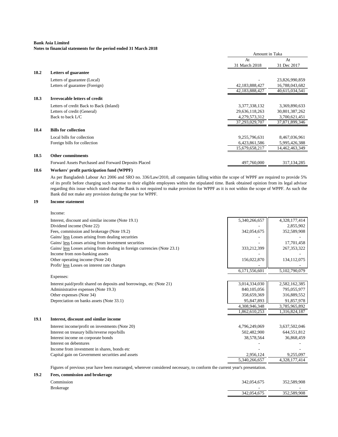## **Notes to financial statements for the period ended 31 March 2018**

|      |                                                      | Amount in Taka |                |
|------|------------------------------------------------------|----------------|----------------|
|      |                                                      | At             | At             |
|      |                                                      | 31 March 2018  | 31 Dec 2017    |
| 18.2 | <b>Letters of guarantee</b>                          |                |                |
|      | Letters of guarantee (Local)                         |                | 23,826,990,859 |
|      | Letters of guarantee (Foreign)                       | 42,183,888,427 | 16,788,043,682 |
|      |                                                      | 42,183,888,427 | 40,615,034,541 |
| 18.3 | <b>Irrevocable letters of credit</b>                 |                |                |
|      | Letters of credit Back to Back (Inland)              | 3,377,338,132  | 3,369,890,633  |
|      | Letters of credit (General)                          | 29,636,118,263 | 30,801,387,262 |
|      | Back to back L/C                                     | 4,279,573,312  | 3,700,621,451  |
|      |                                                      | 37,293,029,707 | 37,871,899,346 |
| 18.4 | <b>Bills for collection</b>                          |                |                |
|      | Local bills for collection                           | 9,255,796,631  | 8,467,036,961  |
|      | Foreign bills for collection                         | 6,423,861,586  | 5,995,426,388  |
|      |                                                      | 15,679,658,217 | 14,462,463,349 |
| 18.5 | <b>Other commitments</b>                             |                |                |
|      | Forward Assets Purchased and Forward Deposits Placed | 497,760,000    | 317, 134, 285  |
|      |                                                      |                |                |

#### **18.6 Workers' profit participation fund (WPPF)**

As per Bangladesh Labour Act 2006 and SRO no. 336/Law/2010, all companies falling within the scope of WPPF are required to provide 5% of its profit before charging such expense to their eligible employees within the stipulated time. Bank obtained opinion from its legal advisor regarding this issue which stated that the Bank is not required to make provision for WPPF as it is not within the scope of WPPF. As such the Bank did not make any provision during the year for WPPF.

#### **19 Income statement**

|      | Income:                                                                   |               |               |
|------|---------------------------------------------------------------------------|---------------|---------------|
|      | Interest, discount and similar income (Note 19.1)                         | 5,340,266,657 | 4,328,177,414 |
|      | Dividend income (Note 22)                                                 |               | 2,855,902     |
|      | Fees, commission and brokerage (Note 19.2)                                | 342,054,675   | 352,589,908   |
|      | Gains/ <i>less</i> Losses arising from dealing securities                 |               |               |
|      | Gains/ less Losses arising from investment securities                     |               | 17,701,458    |
|      | Gains/ less Losses arising from dealing in foreign currencies (Note 23.1) | 333,212,399   | 267, 353, 322 |
|      | Income from non-banking assets                                            |               |               |
|      | Other operating income (Note 24)                                          | 156,022,870   | 134,112,075   |
|      | Profit/less Losses on interest rate changes                               |               |               |
|      |                                                                           | 6,171,556,601 | 5,102,790,079 |
|      | Expenses:                                                                 |               |               |
|      | Interest paid/profit shared on deposits and borrowings, etc (Note 21)     | 3,014,334,030 | 2,582,162,385 |
|      | Administrative expenses (Note 19.3)                                       | 840,105,056   | 795,055,977   |
|      | Other expenses (Note 34)                                                  | 358,659,369   | 316,889,552   |
|      | Depreciation on banks assets (Note 33.1)                                  | 95,847,893    | 91,857,978    |
|      |                                                                           | 4,308,946,348 | 3,785,965,892 |
|      |                                                                           | 1,862,610,253 | 1,316,824,187 |
| 19.1 | Interest, discount and similar income                                     |               |               |
|      | Interest income/profit on investments (Note 20)                           | 4,796,249,069 | 3,637,502,046 |
|      | Interest on treasury bills/reverse repo/bills                             | 502,482,900   | 644,551,812   |
|      | Interest income on corporate bonds                                        | 38,578,564    | 36,868,459    |
|      | Interest on debentures                                                    |               |               |
|      | Income from investment in shares, bonds etc.                              |               |               |
|      | Capital gain on Government securities and assets                          | 2,956,124     | 9,255,097     |
|      |                                                                           | 5,340,266,657 | 4,328,177,414 |
|      |                                                                           |               |               |

Figures of previous year have been rearranged, wherever considered necessary, to conform the current year's presentation.

#### **19.2 Fees, commission and brokerage**

| Commission       | 342,054,675 | 352,589,908 |
|------------------|-------------|-------------|
| <b>Brokerage</b> |             |             |
|                  | 342,054,675 | 352,589,908 |
|                  |             |             |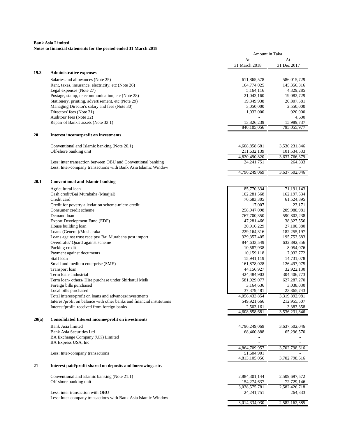|       | roles to miancial statements for the period ended 31 march 2016                                                                   | Amount in Taka             |                            |
|-------|-----------------------------------------------------------------------------------------------------------------------------------|----------------------------|----------------------------|
|       |                                                                                                                                   | At                         | At                         |
|       |                                                                                                                                   | 31 March 2018              | 31 Dec 2017                |
| 19.3  | <b>Administrative expenses</b>                                                                                                    |                            |                            |
|       | Salaries and allowances (Note 25)                                                                                                 | 611,865,578                | 586,015,729                |
|       | Rent, taxes, insurance, electricity, etc (Note 26)                                                                                | 164,774,025                | 145,356,316                |
|       | Legal expenses (Note 27)                                                                                                          | 5,164,116                  | 4,329,285                  |
|       | Postage, stamp, telecommunication, etc (Note 28)                                                                                  | 21,043,160                 | 19,082,729                 |
|       | Stationery, printing, advertisement, etc (Note 29)                                                                                | 19,349,938                 | 20,807,581                 |
|       | Managing Director's salary and fees (Note 30)                                                                                     | 3,050,000                  | 2,550,000                  |
|       | Directors' fees (Note 31)                                                                                                         | 1,032,000                  | 920,000                    |
|       | Auditors' fees (Note 32)                                                                                                          |                            | 4,600                      |
|       |                                                                                                                                   |                            |                            |
|       | Repair of Bank's assets (Note 33.1)                                                                                               | 13,826,239<br>840,105,056  | 15,989,737<br>795,055,977  |
| 20    | Interest income/profit on investments                                                                                             |                            |                            |
|       |                                                                                                                                   |                            |                            |
|       | Conventional and Islamic banking (Note 20.1)                                                                                      | 4,608,858,681              | 3,536,231,846              |
|       | Off-shore banking unit                                                                                                            | 211,632,139                | 101,534,533                |
|       |                                                                                                                                   | 4,820,490,820              | 3,637,766,379              |
|       | Less: inter transaction between OBU and Conventional banking                                                                      | 24, 241, 751               | 264,333                    |
|       | Less: Inter-company transactions with Bank Asia Islamic Window                                                                    |                            |                            |
|       |                                                                                                                                   | 4,796,249,069              | 3,637,502,046              |
| 20.1  | <b>Conventional and Islamic banking</b>                                                                                           |                            |                            |
|       | Agricultural loan                                                                                                                 | 85,770,334                 | 71, 191, 143               |
|       | Cash credit/Bai Murabaha (Muajjal)                                                                                                | 102,281,568                | 162,197,534                |
|       | Credit card                                                                                                                       | 70,683,305                 | 61,524,895                 |
|       | Credit for poverty alleviation scheme-micro credit                                                                                | 17,007                     | 23,171                     |
|       | Consumer credit scheme                                                                                                            | 258,947,098                | 209,988,981                |
|       | Demand loan                                                                                                                       | 767,700,350                | 590,802,238                |
|       | Export Development Fund (EDF)                                                                                                     | 47,281,466                 | 38,327,556                 |
|       | House building loan                                                                                                               | 30,916,229                 | 27,100,380                 |
|       | Loans (General)/Musharaka                                                                                                         | 229,164,316                | 182,255,197                |
|       | Loans against trust receipts/ Bai Murabaha post import                                                                            | 329, 357, 405              | 195,753,683                |
|       | Overdrafts/ Quard against scheme                                                                                                  | 844,633,549                | 632,892,356                |
|       | Packing credit                                                                                                                    | 10,587,938                 | 8,054,076                  |
|       | Payment against documents                                                                                                         | 10,159,118                 | 7,032,772                  |
|       | Staff loan                                                                                                                        | 15,941,119                 | 14,731,078                 |
|       | Small and medium enterprise (SME)                                                                                                 | 161,878,028                | 126,497,975                |
|       | Transport loan                                                                                                                    | 44,156,927                 | 32,922,130                 |
|       | Term loan-industrial                                                                                                              | 424,484,903                | 304,406,773                |
|       | Term loan- others/ Hire purchase under Shirkatul Melk                                                                             | 581,929,077                | 627,287,270                |
|       | Foreign bills purchased                                                                                                           | 3,164,636                  | 3,038,030                  |
|       | Local bills purchased                                                                                                             | 37,379,481                 | 23,865,743                 |
|       |                                                                                                                                   | 4,056,433,854              | 3,319,892,981              |
|       | Total interest/profit on loans and advances/investments<br>Interest/profit on balance with other banks and financial institutions | 549,921,666                | 212,955,507                |
|       |                                                                                                                                   |                            |                            |
|       | Interest/profit received from foreign banks                                                                                       | 2,503,161<br>4,608,858,681 | 3,383,358<br>3,536,231,846 |
| 20(a) | <b>Consolidated Interest income/profit on investments</b>                                                                         |                            |                            |
|       | Bank Asia limited                                                                                                                 | 4,796,249,069              | 3,637,502,046              |
|       | Bank Asia Securities Ltd                                                                                                          | 68,460,888                 | 65,296,570                 |
|       | BA Exchange Company (UK) Limited                                                                                                  |                            |                            |
|       | BA Express USA, Inc.                                                                                                              |                            |                            |
|       |                                                                                                                                   | 4,864,709,957              | 3,702,798,616              |
|       |                                                                                                                                   | 51,604,901                 |                            |
|       | Less: Inter-company transactions                                                                                                  | 4,813,105,056              | 3,702,798,616              |
| 21    | Interest paid/profit shared on deposits and borrowings etc.                                                                       |                            |                            |
|       |                                                                                                                                   |                            |                            |
|       | Conventional and Islamic banking (Note 21.1)<br>Off-shore banking unit                                                            | 2,884,301,144              | 2,509,697,572              |
|       |                                                                                                                                   | 154,274,637                | 72,729,146                 |
|       |                                                                                                                                   | 3,038,575,781              | 2,582,426,718              |
|       | Less: inter transaction with OBU                                                                                                  | 24, 241, 751               | 264,333                    |
|       | Less: Inter-company transactions with Bank Asia Islamic Window                                                                    | 3,014,334,030              | 2,582,162,385              |
|       |                                                                                                                                   |                            |                            |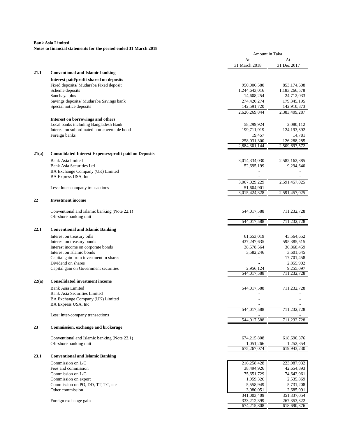|       |                                                               | Amount in Taka              |                             |
|-------|---------------------------------------------------------------|-----------------------------|-----------------------------|
|       |                                                               | At                          | At                          |
|       |                                                               | 31 March 2018               | 31 Dec 2017                 |
| 21.1  | <b>Conventional and Islamic banking</b>                       |                             |                             |
|       | Interest paid/profit shared on deposits                       |                             |                             |
|       | Fixed deposits/ Mudaraba Fixed deposit                        | 950,006,580                 | 853,174,608                 |
|       | Scheme deposits                                               | 1,244,643,016               | 1,183,266,578               |
|       | Sanchaya plus<br>Savings deposits/ Mudaraba Savings bank      | 14,608,254<br>274,420,274   | 24,712,033<br>179, 345, 195 |
|       | Special notice deposits                                       | 142,591,720                 | 142,910,873                 |
|       |                                                               | 2,626,269,844               | 2,383,409,287               |
|       | Interest on borrowings and others                             |                             |                             |
|       | Local banks including Bangladesh Bank                         | 58,299,924                  | 2,080,112                   |
|       | Interest on subordinated non-covertable bond                  | 199,711,919                 | 124,193,392                 |
|       | Foreign banks                                                 | 19,457                      | 14,781                      |
|       |                                                               | 258,031,300                 | 126,288,285                 |
|       |                                                               | 2,884,301,144               | 2,509,697,572               |
| 21(a) | <b>Consolidated Interest Expenses/profit paid on Deposits</b> |                             |                             |
|       | <b>Bank Asia limited</b>                                      | 3,014,334,030               | 2,582,162,385               |
|       | Bank Asia Securities Ltd                                      | 52,695,199                  | 9,294,640                   |
|       | BA Exchange Company (UK) Limited                              |                             |                             |
|       | BA Express USA, Inc                                           |                             |                             |
|       |                                                               | 3,067,029,229               | 2,591,457,025               |
|       | Less: Inter-company transactions                              | 51,604,901                  |                             |
|       |                                                               | 3,015,424,328               | 2,591,457,025               |
| 22    | <b>Investment</b> income                                      |                             |                             |
|       | Conventional and Islamic banking (Note 22.1)                  | 544,017,588                 | 711,232,728                 |
|       | Off-shore banking unit                                        |                             |                             |
|       |                                                               | 544,017,588                 | 711,232,728                 |
| 22.1  | <b>Conventional and Islamic Banking</b>                       |                             |                             |
|       |                                                               |                             |                             |
|       | Interest on treasury bills<br>Interest on treasury bonds      | 61,653,019<br>437, 247, 635 | 45,564,652<br>595,385,515   |
|       | Interest income on corporate bonds                            | 38,578,564                  | 36,868,459                  |
|       | Interest on Islamic bonds                                     | 3,582,246                   | 3,601,645                   |
|       | Capital gain from investment in shares                        |                             | 17,701,458                  |
|       | Dividend on shares                                            |                             | 2,855,902                   |
|       | Capital gain on Government securities                         | 2,956,124                   | 9,255,097                   |
|       |                                                               | 544,017,588                 | 711,232,728                 |
| 22(a) | <b>Consolidated investment income</b>                         |                             |                             |
|       | Bank Asia Limited                                             | 544,017,588                 | 711,232,728                 |
|       | <b>Bank Asia Securities Limited</b>                           |                             |                             |
|       | BA Exchange Company (UK) Limited                              |                             |                             |
|       | BA Express USA, Inc.                                          |                             |                             |
|       | Less: Inter-company transactions                              | 544,017,588                 | 711,232,728                 |
|       |                                                               | 544,017,588                 | 711,232,728                 |
| 23    | Commission, exchange and brokerage                            |                             |                             |
|       |                                                               |                             |                             |
|       | Conventional and Islamic banking (Note 23.1)                  | 674,215,808                 | 618,690,376                 |
|       | Off-shore banking unit                                        | 1,051,266                   | 1,252,854                   |
|       |                                                               | 675,267,074                 | 619,943,230                 |
| 23.1  | <b>Conventional and Islamic Banking</b>                       |                             |                             |
|       | Commission on L/C                                             | 216,258,428                 | 223,087,932                 |
|       | Fees and commission                                           | 38,494,926                  | 42,654,893                  |
|       | Commission on L/G                                             | 75,651,729                  | 74,642,061                  |
|       | Commission on export                                          | 1,959,326                   | 2,535,869                   |
|       | Commission on PO, DD, TT, TC, etc                             | 5,558,949                   | 5,731,208                   |
|       | Other commission                                              | 3,080,051                   | 2,685,091                   |
|       |                                                               | 341,003,409                 | 351,337,054                 |
|       | Foreign exchange gain                                         | 333,212,399                 | 267, 353, 322               |
|       |                                                               | 674,215,808                 | 618,690,376                 |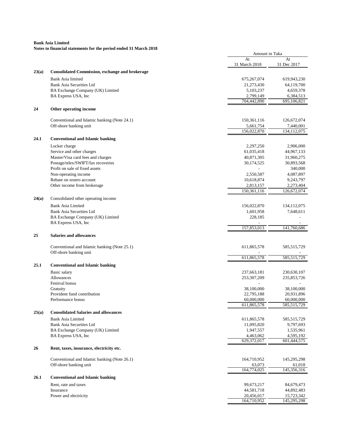|       |                                                                         | Amount in Taka           |                          |
|-------|-------------------------------------------------------------------------|--------------------------|--------------------------|
|       |                                                                         | At                       | At                       |
|       |                                                                         | 31 March 2018            | 31 Dec 2017              |
| 23(a) | <b>Consolidated Commission, exchange and brokerage</b>                  |                          |                          |
|       | Bank Asia limited                                                       | 675, 267, 074            | 619,943,230              |
|       | <b>Bank Asia Securities Ltd</b>                                         | 21,273,430               | 64,119,700               |
|       | BA Exchange Company (UK) Limited                                        | 5,103,237                | 4,659,378                |
|       | BA Express USA, Inc                                                     | 2,799,149<br>704,442,890 | 6,384,513<br>695,106,821 |
| 24    | Other operating income                                                  |                          |                          |
|       | Conventional and Islamic banking (Note 24.1)                            | 150,361,116              | 126,672,074              |
|       | Off-shore banking unit                                                  | 5,661,754                | 7,440,001                |
|       |                                                                         | 156,022,870              | 134.112.075              |
| 24.1  | <b>Conventional and Islamic banking</b>                                 |                          |                          |
|       | Locker charge                                                           | 2,297,250                | 2,906,000                |
|       | Service and other charges                                               | 61,035,418               | 44,967,133               |
|       | Master/Visa card fees and charges<br>Postage/telex/SWIFT/fax recoveries | 40,871,305               | 31,960,275               |
|       | Profit on sale of fixed assets                                          | 30,174,525               | 30,893,568<br>340,000    |
|       | Non-operating income                                                    | 2,550,587                | 4,087,897                |
|       | Rebate on nostro account                                                | 10,618,874               | 9,243,797                |
|       | Other income from brokerage                                             | 2,813,157                | 2,273,404                |
|       |                                                                         | 150,361,116              | 126,672,074              |
| 24(a) | Consolidated other operating income                                     |                          |                          |
|       | Bank Asia Limited                                                       | 156,022,870              | 134, 112, 075            |
|       | Bank Asia Securities Ltd                                                | 1,601,958                | 7,648,611                |
|       | BA Exchange Company (UK) Limited<br>BA Express USA, Inc                 | 228,185                  |                          |
|       |                                                                         | 157,853,013              | 141,760,686              |
| 25    | <b>Salaries and allowances</b>                                          |                          |                          |
|       |                                                                         |                          |                          |
|       | Conventional and Islamic banking (Note 25.1)                            | 611,865,578              | 585,515,729              |
|       | Off-shore banking unit                                                  | 611,865,578              | 585,515,729              |
|       |                                                                         |                          |                          |
| 25.1  | <b>Conventional and Islamic banking</b>                                 |                          |                          |
|       | Basic salary                                                            | 237,663,181              | 230,630,107              |
|       | Allowances                                                              | 253, 307, 209            | 235,853,726              |
|       | Festival bonus<br>Gratuity                                              | 38,100,000               | 38,100,000               |
|       | Provident fund contribution                                             | 22,795,188               | 20,931,896               |
|       | Performance bonus                                                       | 60,000,000               | 60,000,000               |
|       |                                                                         | 611,865,578              | 585,515,729              |
| 25(a) | <b>Consolidated Salaries and allowances</b>                             |                          |                          |
|       | Bank Asia Limited                                                       | 611,865,578              | 585, 515, 729            |
|       | <b>Bank Asia Securities Ltd</b>                                         | 11,095,820               | 9,797,693                |
|       | BA Exchange Company (UK) Limited                                        | 1,947,557                | 1,535,961                |
|       | BA Express USA, Inc                                                     | 4,463,062                | 4,595,192                |
| 26    | Rent, taxes, insurance, electricity etc.                                | 629,372,017              | 601,444,575              |
|       |                                                                         |                          |                          |
|       | Conventional and Islamic banking (Note 26.1)<br>Off-shore banking unit  | 164,710,952<br>63,073    | 145,295,298<br>61,018    |
|       |                                                                         | 164,774,025              | 145,356,316              |
| 26.1  | <b>Conventional and Islamic banking</b>                                 |                          |                          |
|       | Rent, rate and taxes                                                    | 99,673,217               | 84,679,473               |
|       | Insurance                                                               | 44,581,718               | 44,892,483               |
|       | Power and electricity                                                   | 20,456,017               | 15,723,342               |
|       |                                                                         | 164,710,952              | 145,295,298              |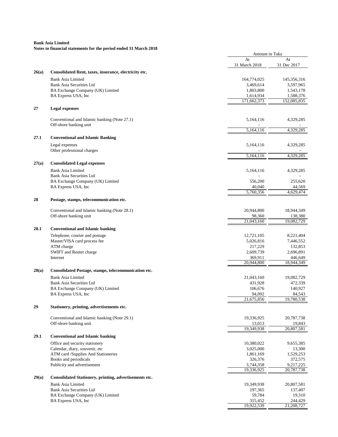|       |                                                              | Amount in Taka           |                          |
|-------|--------------------------------------------------------------|--------------------------|--------------------------|
|       |                                                              | At                       | At                       |
|       |                                                              | 31 March 2018            | 31 Dec 2017              |
| 26(a) | Consolidated Rent, taxes, insurance, electricity etc.        |                          |                          |
|       | <b>Bank Asia Limited</b>                                     | 164,774,025              | 145,356,316              |
|       | <b>Bank Asia Securities Ltd</b>                              | 3,469,614                | 3,597,965                |
|       | BA Exchange Company (UK) Limited                             | 1,803,800                | 1,543,178                |
|       | BA Express USA, Inc                                          | 1,614,934<br>171,662,373 | 1,588,376<br>152,085,835 |
| 27    | <b>Legal expenses</b>                                        |                          |                          |
|       | Conventional and Islamic banking (Note 27.1)                 | 5,164,116                | 4,329,285                |
|       | Off-shore banking unit                                       |                          |                          |
|       |                                                              | 5,164,116                | 4,329,285                |
| 27.1  | <b>Conventional and Islamic Banking</b>                      |                          |                          |
|       | Legal expenses<br>Other professional charges                 | 5,164,116                | 4,329,285                |
|       |                                                              | 5,164,116                | 4,329,285                |
| 27(a) | <b>Consolidated Legal expenses</b>                           |                          |                          |
|       | Bank Asia Limited                                            | 5,164,116                | 4,329,285                |
|       | <b>Bank Asia Securities Ltd</b>                              |                          |                          |
|       | BA Exchange Company (UK) Limited                             | 556,200                  | 255,620                  |
|       | BA Express USA, Inc                                          | 40,040<br>5.760.356      | 44,569<br>4,629,474      |
| 28    | Postage, stamps, telecommunication etc.                      |                          |                          |
|       | Conventional and Islamic banking (Note 28.1)                 | 20,944,800               | 18,944,349               |
|       | Off-shore banking unit                                       | 98,360                   | 138,380                  |
|       |                                                              | 21,043,160               | 19,082,729               |
| 28.1  | <b>Conventional and Islamic banking</b>                      |                          |                          |
|       | Telephone, courier and postage                               | 12,721,105               | 8,221,404                |
|       | Master/VISA card process fee                                 | 5,026,816                | 7,446,552                |
|       | ATM charge                                                   | 217,229                  | 132,853                  |
|       | SWIFT and Reuter charge                                      | 2,609,739                | 2,696,891                |
|       | Internet                                                     | 369,911<br>20,944,800    | 446,649<br>18,944,349    |
| 28(a) | Consolidated Postage, stamps, telecommunication etc.         |                          |                          |
|       | <b>Bank Asia Limited</b>                                     | 21,043,160               | 19,082,729               |
|       | <b>Bank Asia Securities Ltd</b>                              | 431,928                  | 472,339                  |
|       | BA Exchange Company (UK) Limited                             | 106,676                  | 140,927                  |
|       | BA Express USA, Inc                                          | 94,092                   | 84,543                   |
|       |                                                              | 21,675,856               | 19,780,538               |
| 29    | Stationery, printing, advertisements etc.                    |                          |                          |
|       | Conventional and Islamic banking (Note 29.1)                 | 19,336,925               | 20,787,738               |
|       | Off-shore banking unit                                       | 13,013                   | 19,843                   |
|       |                                                              | 19,349,938               | 20,807,581               |
| 29.1  | <b>Conventional and Islamic banking</b>                      |                          |                          |
|       | Office and security stationery                               | 10,380,022               | 9,655,385                |
|       | Calendar, diary, souvenir, etc                               | 3,025,000                | 13,300                   |
|       | ATM card /Supplies And Stationeries<br>Books and periodicals | 1,861,169<br>326,376     | 1,529,253<br>372,575     |
|       | Publicity and advertisement                                  | 3,744,358                | 9,217,225                |
|       |                                                              | 19,336,925               | 20,787,738               |
| 29(a) | Consolidated Stationery, printing, advertisements etc.       |                          |                          |
|       | Bank Asia Limited                                            | 19,349,938               | 20,807,581               |
|       | Bank Asia Securities Ltd                                     | 197,365                  | 137,407                  |
|       | BA Exchange Company (UK) Limited                             | 59,784                   | 19,310                   |
|       | BA Express USA, Inc                                          | 315,452                  | 244,429                  |
|       |                                                              | 19,922,539               | 21,208,727               |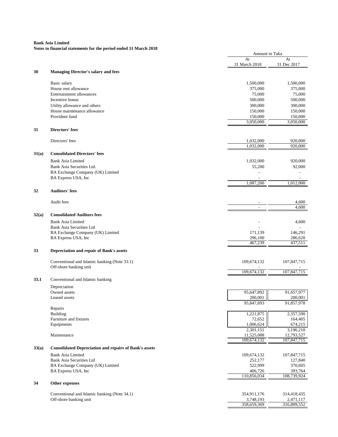| roles to miancial statements for the period ended 31 march 2016 |                                                               |                      | Amount in Taka     |  |
|-----------------------------------------------------------------|---------------------------------------------------------------|----------------------|--------------------|--|
|                                                                 |                                                               | At                   | At                 |  |
|                                                                 |                                                               | 31 March 2018        | 31 Dec 2017        |  |
| 30                                                              | <b>Managing Director's salary and fees</b>                    |                      |                    |  |
|                                                                 |                                                               |                      | 1,500,000          |  |
|                                                                 | Basic salary                                                  | 1,500,000            |                    |  |
|                                                                 | House rent allowance                                          | 375,000              | 375,000            |  |
|                                                                 | Entertainment allowances<br>Incentive bonus                   | 75,000               | 75,000             |  |
|                                                                 |                                                               | 500,000<br>300,000   | 500,000<br>300,000 |  |
|                                                                 | Utility allowance and others<br>House maintenance allowance   | 150,000              |                    |  |
|                                                                 | Provident fund                                                |                      | 150,000<br>150,000 |  |
|                                                                 |                                                               | 150,000<br>3,050,000 | 3,050,000          |  |
| 31                                                              | <b>Directors' fees</b>                                        |                      |                    |  |
|                                                                 |                                                               |                      |                    |  |
|                                                                 | Directors' fees                                               | 1,032,000            | 920,000            |  |
|                                                                 |                                                               | 1,032,000            | 920,000            |  |
| 31(a)                                                           | <b>Consolidated Directors' fees</b>                           |                      |                    |  |
|                                                                 | <b>Bank Asia Limited</b>                                      | 1,032,000            | 920,000            |  |
|                                                                 | Bank Asia Securities Ltd.                                     | 55,200               | 92,000             |  |
|                                                                 | BA Exchange Company (UK) Limited                              |                      |                    |  |
|                                                                 | BA Express USA, Inc                                           | 1.087.200            | 1.012.000          |  |
| 32                                                              | <b>Auditors' fees</b>                                         |                      |                    |  |
|                                                                 |                                                               |                      |                    |  |
|                                                                 | Audit fees                                                    |                      | 4,600              |  |
|                                                                 |                                                               | $\overline{a}$       | 4,600              |  |
| 32(a)                                                           | <b>Consolidated Auditors fees</b>                             |                      |                    |  |
|                                                                 | <b>Bank Asia Limited</b>                                      |                      | 4,600              |  |
|                                                                 | Bank Asia Securities Ltd                                      |                      |                    |  |
|                                                                 | BA Exchange Company (UK) Limited                              | 171,139              | 146,291            |  |
|                                                                 | BA Express USA, Inc                                           | 296,100<br>467,239   | 286,620<br>437,511 |  |
| 33                                                              |                                                               |                      |                    |  |
|                                                                 | Depreciation and repair of Bank's assets                      |                      |                    |  |
|                                                                 | Conventional and Islamic banking (Note 33.1)                  | 109,674,132          | 107,847,715        |  |
|                                                                 | Off-shore banking unit                                        | 109,674,132          | 107,847,715        |  |
| 33.1                                                            | Conventional and Islamic banking                              |                      |                    |  |
|                                                                 | Depreciation                                                  |                      |                    |  |
|                                                                 | Owned assets                                                  | 95,647,892           | 91,657,977         |  |
|                                                                 | Leased assets                                                 | 200,001              | 200,001            |  |
|                                                                 |                                                               | 95,847,893           | 91,857,978         |  |
|                                                                 | Repairs<br><b>Building</b>                                    | 1,221,875            | 2,357,590          |  |
|                                                                 | Furniture and fixtures                                        | 72,652               | 164,405            |  |
|                                                                 | Equipments                                                    | 1,006,624            | 674,215            |  |
|                                                                 |                                                               | 2,301,151            | 3,196,210          |  |
|                                                                 | Maintenance                                                   | 11,525,088           | 12,793,527         |  |
|                                                                 |                                                               | 109,674,132          | 107,847,715        |  |
| 33(a)                                                           | <b>Consolidated Depreciation and repairs of Bank's assets</b> |                      |                    |  |
|                                                                 | <b>Bank Asia Limited</b>                                      | 109,674,132          | 107,847,715        |  |
|                                                                 | Bank Asia Securities Ltd                                      | 252,177              | 127,840            |  |
|                                                                 | BA Exchange Company (UK) Limited                              | 522,999              | 370,605            |  |
|                                                                 | BA Express USA, Inc.                                          | 406,726              | 393,764            |  |
|                                                                 |                                                               | 110,856,034          | 108,739,924        |  |
| 34                                                              | Other expenses                                                |                      |                    |  |
|                                                                 | Conventional and Islamic banking (Note 34.1)                  | 354,911,176          | 314,418,435        |  |
|                                                                 | Off-shore banking unit                                        | 3,748,193            | 2,471,117          |  |
|                                                                 |                                                               | 358,659,369          | 316,889,552        |  |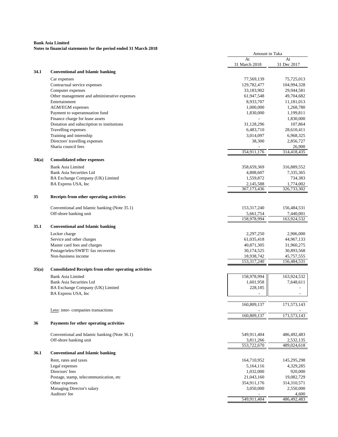|       |                                                                        |                            | Amount in Taka                     |  |
|-------|------------------------------------------------------------------------|----------------------------|------------------------------------|--|
|       |                                                                        | At                         | At                                 |  |
|       |                                                                        | 31 March 2018              | 31 Dec 2017                        |  |
| 34.1  | <b>Conventional and Islamic banking</b>                                |                            |                                    |  |
|       | Car expenses                                                           | 77,569,139                 | 75,725,013                         |  |
|       | Contractual service expenses                                           | 129,782,477                | 104,994,328                        |  |
|       | Computer expenses                                                      | 33,183,902                 | 29,944,581                         |  |
|       | Other management and administrative expenses                           | 61,947,548                 | 49,704,682                         |  |
|       | Entertainment                                                          | 8,933,707                  | 11,181,013                         |  |
|       | AGM/EGM expenses                                                       | 1,000,000                  | 1,268,780                          |  |
|       | Payment to superannuation fund                                         | 1,830,000                  | 1,199,811                          |  |
|       | Finance charge for lease assets                                        |                            | 1,830,000                          |  |
|       | Donation and subscription to institutions                              | 31,128,296                 | 107,864                            |  |
|       | Travelling expenses                                                    | 6,483,710                  | 28,610,411                         |  |
|       | Training and internship<br>Directors' travelling expenses              | 3,014,097<br>38,300        | 6,968,325<br>2,856,727             |  |
|       | Sharia council fees                                                    |                            | 26,900                             |  |
|       |                                                                        | 354,911,176                | 314,418,435                        |  |
| 34(a) | <b>Consolidated other expenses</b>                                     |                            |                                    |  |
|       |                                                                        |                            |                                    |  |
|       | <b>Bank Asia Limited</b>                                               | 358,659,369                | 316,889,552<br>7,335,365           |  |
|       | Bank Asia Securities Ltd<br>BA Exchange Company (UK) Limited           | 4,808,607<br>1,559,872     | 734,383                            |  |
|       | BA Express USA, Inc                                                    | 2,145,588                  | 1,774,002                          |  |
|       |                                                                        | 367,173,436                | 326,733,302                        |  |
| 35    | Receipts from other operating activities                               |                            |                                    |  |
|       |                                                                        |                            |                                    |  |
|       | Conventional and Islamic banking (Note 35.1)<br>Off-shore banking unit | 153, 317, 240<br>5,661,754 | 156,484,531<br>7,440,001           |  |
|       |                                                                        | 158,978,994                | 163,924,532                        |  |
| 35.1  | <b>Conventional and Islamic banking</b>                                |                            |                                    |  |
|       |                                                                        |                            |                                    |  |
|       | Locker charge                                                          | 2,297,250                  | 2,906,000                          |  |
|       | Service and other charges                                              | 61,035,418                 | 44,967,133                         |  |
|       | Master card fees and charges<br>Postage/telex/SWIFT/ fax recoveries    | 40,871,305<br>30,174,525   | 31,960,275<br>30,893,568           |  |
|       | Non-business income                                                    | 18,938,742                 | 45,757,555                         |  |
|       |                                                                        | 153,317,240                | 156,484,531                        |  |
| 35(a) | <b>Consolidated Receipts from other operating activities</b>           |                            |                                    |  |
|       |                                                                        |                            |                                    |  |
|       | <b>Bank Asia Limited</b>                                               | 158,978,994                | 163,924,532                        |  |
|       | <b>Bank Asia Securities Ltd</b>                                        | 1,601,958                  | 7,648,611                          |  |
|       | BA Exchange Company (UK) Limited<br>BA Express USA, Inc.               | 228,185                    | $\overline{\phantom{a}}$<br>$\sim$ |  |
|       |                                                                        |                            |                                    |  |
|       |                                                                        | 160,809,137                | 171,573,143                        |  |
|       | Less: inter-companies transactions                                     |                            |                                    |  |
|       |                                                                        | 160,809,137                | 171,573,143                        |  |
| 36    | Payments for other operating activities                                |                            |                                    |  |
|       | Conventional and Islamic banking (Note 36.1)                           | 549,911,404                | 486, 492, 483                      |  |
|       | Off-shore banking unit                                                 | 3,811,266                  | 2,532,135                          |  |
|       |                                                                        | 553,722,670                | 489,024,618                        |  |
| 36.1  | <b>Conventional and Islamic banking</b>                                |                            |                                    |  |
|       |                                                                        |                            |                                    |  |
|       | Rent. rates and taxes                                                  | 164,710,952                | 145,295,298                        |  |
|       | Legal expenses                                                         | 5,164,116                  | 4,329,285                          |  |
|       | Directors' fees                                                        | 1,032,000                  | 920,000<br>19,082,729              |  |
|       | Postage, stamp, telecommunication, etc<br>Other expenses               | 21,043,160<br>354,911,176  | 314,310,571                        |  |
|       | Managing Director's salary                                             | 3,050,000                  | 2,550,000                          |  |
|       | Auditors' fee                                                          |                            | 4,600                              |  |
|       |                                                                        | 549,911,404                | 486,492,483                        |  |